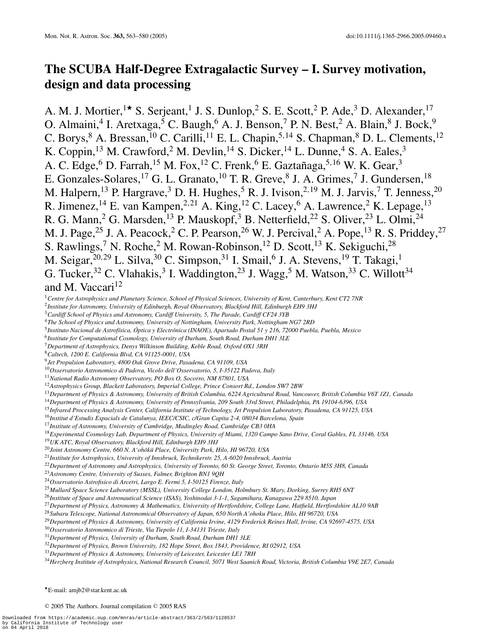# **The SCUBA Half-Degree Extragalactic Survey – I. Survey motivation, design and data processing**

A. M. J. Mortier,  $1\star$  S. Serjeant,<sup>1</sup> J. S. Dunlop,<sup>2</sup> S. E. Scott,<sup>2</sup> P. Ade,<sup>3</sup> D. Alexander, <sup>17</sup> O. Almaini,<sup>4</sup> I. Aretxaga,<sup>5</sup> C. Baugh,<sup>6</sup> A. J. Benson,<sup>7</sup> P. N. Best,<sup>2</sup> A. Blain,<sup>8</sup> J. Bock,<sup>9</sup> C. Borys, A. Bressan,  $^{10}$  C. Carilli,  $^{11}$  E. L. Chapin,  $^{5,14}$  S. Chapman,  $^{8}$  D. L. Clements,  $^{12}$ K. Coppin,<sup>13</sup> M. Crawford,<sup>2</sup> M. Devlin,<sup>14</sup> S. Dicker,<sup>14</sup> L. Dunne,<sup>4</sup> S. A. Eales,<sup>3</sup> A. C. Edge, D. Farrah,  $^{15}$  M. Fox,  $^{12}$  C. Frenk,  $6$  E. Gaztañaga,  $^{5,16}$  W. K. Gear,  $^3$ E. Gonzales-Solares,<sup>17</sup> G. L. Granato,<sup>10</sup> T. R. Greve,<sup>8</sup> J. A. Grimes,<sup>7</sup> J. Gundersen,<sup>18</sup> M. Halpern,<sup>13</sup> P. Hargrave,<sup>3</sup> D. H. Hughes,<sup>5</sup> R. J. Ivison,<sup>2,19</sup> M. J. Jarvis,<sup>7</sup> T. Jenness,<sup>20</sup> R. Jimenez,<sup>14</sup> E. van Kampen,<sup>2,21</sup> A. King,<sup>12</sup> C. Lacey,<sup>6</sup> A. Lawrence,<sup>2</sup> K. Lepage,<sup>13</sup> R. G. Mann,<sup>2</sup> G. Marsden,<sup>13</sup> P. Mauskopf,<sup>3</sup> B. Netterfield,<sup>22</sup> S. Oliver,<sup>23</sup> L. Olmi,<sup>24</sup> M. J. Page,<sup>25</sup> J. A. Peacock,<sup>2</sup> C. P. Pearson,<sup>26</sup> W. J. Percival,<sup>2</sup> A. Pope,<sup>13</sup> R. S. Priddey,<sup>27</sup> S. Rawlings,<sup>7</sup> N. Roche,<sup>2</sup> M. Rowan-Robinson,<sup>12</sup> D. Scott,<sup>13</sup> K. Sekiguchi,<sup>28</sup> M. Seigar,  $^{20,29}$  L. Silva,  $^{30}$  C. Simpson,  $^{31}$  I. Smail,  $^{6}$  J. A. Stevens,  $^{19}$  T. Takagi,  $^{1}$ G. Tucker, C. Vlahakis,  $3$  I. Waddington,  $23$  J. Wagg,  $5$  M. Watson,  $33$  C. Willott  $34$ and M. Vaccari<sup>12</sup>

*Centre for Astrophysics and Planetary Science, School of Physical Sciences, University of Kent, Canterbury, Kent CT2 7NR*

*Institute for Astronomy, University of Edinburgh, Royal Observatory, Blackford Hill, Edinburgh EH9 3HJ*

*Cardiff School of Physics and Astronomy, Cardiff University, 5, The Parade, Cardiff CF24 3YB*

*The School of Physics and Astronomy, University of Nottingham, University Park, Nottingham NG7 2RD*

*Instituto Nacional de Astrof´ısica, Optica y Electr ´ onica (INAOE), Apartado Postal 51 y 216, 72000 Puebla, Puebla, Mexico ´*

*Institute for Computational Cosmology, University of Durham, South Road, Durham DH1 3LE*

*Department of Astrophysics, Denys Wilkinson Building, Keble Road, Oxford OX1 3RH*

*Caltech, 1200 E. California Blvd, CA 91125-0001, USA*

*Jet Propulsion Laboratory, 4800 Oak Grove Drive, Pasadena, CA 91109, USA*

*Osservatorio Astronomico di Padova, Vicolo dell'Osservatorio, 5, I-35122 Padova, Italy*

*National Radio Astronomy Observatory, PO Box O, Socorro, NM 87801, USA*

*Astrophysics Group, Blackett Laboratory, Imperial College, Prince Consort Rd., London SW7 2BW*

*Department of Physics & Astronomy, University of British Columbia, 6224 Agricultural Road, Vancouver, British Columbia V6T 1Z1, Canada*

*Department of Physics & Astronomy, University of Pennsylvania, 209 South 33rd Street, Philadelphia, PA 19104-6396, USA*

*Infrared Processing Analysis Center, California Institute of Technology, Jet Propulsion Laboratory, Pasadena, CA 91125, USA*

*Institut d'Estudis Espacials de Catalunya, IEEC/CSIC, c/Gran Capita 2-4, 08034 Barcelona, Spain*

*Institute of Astronomy, University of Cambridge, Madingley Road, Cambridge CB3 0HA*

*Experimental Cosmology Lab, Department of Physics, University of Miami, 1320 Campo Sano Drive, Coral Gables, FL 33146, USA*

*UK ATC, Royal Observatory, Blackford Hill, Edinburgh EH9 3HJ*

<sup>20</sup>Joint Astronomy Centre, 660 N. A'ohōkū Place, University Park, Hilo, HI 96720, USA

*Institute for Astrophysics, University of Innsbruck, Technikerstr. 25, A-6020 Innsbruck, Austria*

*Department of Astronomy and Astrophysics, University of Toronto, 60 St. George Street, Toronto, Ontario M5S 3H8, Canada*

*Astronomy Centre, University of Sussex, Falmer, Brighton BN1 9QH*

*Osservatorio Astrofisico di Arcetri, Largo E. Fermi 5, I-50125 Firenze, Italy*

*Mullard Space Science Laboratory (MSSL), University College London, Holmbury St. Mary, Dorking, Surrey RH5 6NT*

*Institute of Space and Astronautical Science (ISAS), Yoshinodai 3-1-1, Sagamihara, Kanagawa 229 8510, Japan*

*Department of Physics, Astronomy & Mathematics, University of Hertfordshire, College Lane, Hatfield, Hertfordshire AL10 9AB*

*Subaru Telescope, National Astronomical Observatory of Japan, 650 North A'ohoku Place, Hilo, HI 96720, USA*

*Department of Physics & Astronomy, University of California Irvine, 4129 Frederick Reines Hall, Irvine, CA 92697-4575, USA*

*Osservatorio Astronomico di Trieste, Via Tiepolo 11, I-34131 Trieste, Italy*

*Department of Physics, University of Durham, South Road, Durham DH1 3LE*

*Department of Physics, Brown University, 182 Hope Street, Box 1843, Providence, RI 02912, USA*

*Department of Physics & Astronomy, University of Leicester, Leicester LE1 7RH*

*Herzberg Institute of Astrophysics, National Research Council, 5071 West Saanich Road, Victoria, British Columbia V9E 2E7, Canada*

E-mail: amjb2@star.kent.ac.uk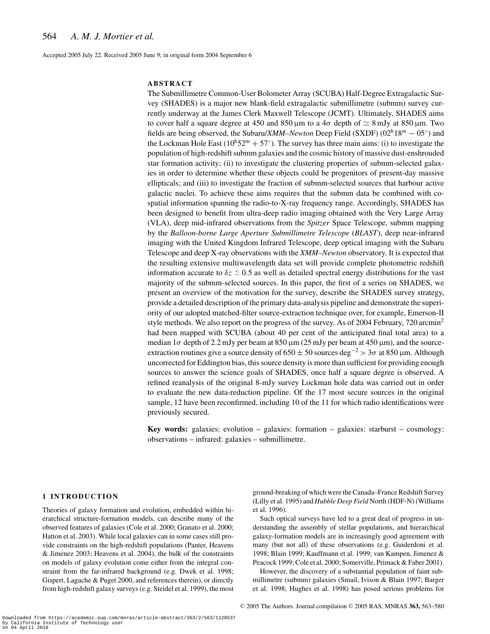Accepted 2005 July 22. Received 2005 June 9; in original form 2004 September 6

## **ABSTRACT**

The Submillimetre Common-User Bolometer Array (SCUBA) Half-Degree Extragalactic Survey (SHADES) is a major new blank-field extragalactic submillimetre (submm) survey currently underway at the James Clerk Maxwell Telescope (JCMT). Ultimately, SHADES aims to cover half a square degree at 450 and 850  $\mu$ m to a 4 $\sigma$  depth of  $\simeq 8$  mJy at 850  $\mu$ m. Two fields are being observed, the Subaru/*XMM–Newton* Deep Field (SXDF) (02h18m <sup>−</sup> <sup>05</sup>◦) and the Lockman Hole East ( $10^{h}52^{m} + 57^{\circ}$ ). The survey has three main aims: (i) to investigate the population of high-redshift submm galaxies and the cosmic history of massive dust-enshrouded star formation activity; (ii) to investigate the clustering properties of submm-selected galaxies in order to determine whether these objects could be progenitors of present-day massive ellipticals; and (iii) to investigate the fraction of submm-selected sources that harbour active galactic nuclei. To achieve these aims requires that the submm data be combined with cospatial information spanning the radio-to-X-ray frequency range. Accordingly, SHADES has been designed to benefit from ultra-deep radio imaging obtained with the Very Large Array (VLA), deep mid-infrared observations from the *Spitzer* Space Telescope, submm mapping by the *Balloon-borne Large Aperture Submillimetre Telescope* (*BLAST*), deep near-infrared imaging with the United Kingdom Infrared Telescope, deep optical imaging with the Subaru Telescope and deep X-ray observations with the *XMM–Newton* observatory. It is expected that the resulting extensive multiwavelength data set will provide complete photometric redshift information accurate to  $\delta z \stackrel{<}{_{\sim}} 0.5$  as well as detailed spectral energy distributions for the vast majority of the submm-selected sources. In this paper, the first of a series on SHADES, we present an overview of the motivation for the survey, describe the SHADES survey strategy, provide a detailed description of the primary data-analysis pipeline and demonstrate the superiority of our adopted matched-filter source-extraction technique over, for example, Emerson-II style methods. We also report on the progress of the survey. As of 2004 February, 720 arcmin<sup>2</sup> had been mapped with SCUBA (about 40 per cent of the anticipated final total area) to a median  $1\sigma$  depth of 2.2 mJy per beam at 850  $\mu$ m (25 mJy per beam at 450  $\mu$ m), and the sourceextraction routines give a source density of  $650 \pm 50$  sources deg<sup>-2</sup> > 3 $\sigma$  at 850 µm. Although uncorrected for Eddington bias, this source density is more than sufficient for providing enough sources to answer the science goals of SHADES, once half a square degree is observed. A refined reanalysis of the original 8-mJy survey Lockman hole data was carried out in order to evaluate the new data-reduction pipeline. Of the 17 most secure sources in the original sample, 12 have been reconfirmed, including 10 of the 11 for which radio identifications were previously secured.

**Key words:** galaxies: evolution – galaxies: formation – galaxies: starburst – cosmology: observations – infrared: galaxies – submillimetre.

# **1 INTRODUCTION**

Theories of galaxy formation and evolution, embedded within hierarchical structure-formation models, can describe many of the observed features of galaxies (Cole et al. 2000; Granato et al. 2000; Hatton et al. 2003). While local galaxies can in some cases still provide constraints on the high-redshift populations (Panter, Heavens & Jimenez 2003; Heavens et al. 2004), the bulk of the constraints on models of galaxy evolution come either from the integral constraint from the far-infrared background (e.g. Dwek et al. 1998; Gispert, Lagache & Puget 2000, and references therein), or directly from high-redshift galaxy surveys (e.g. Steidel et al. 1999), the most

ground-breaking of which were the Canada–France Redshift Survey (Lilly et al. 1995) and *Hubble Deep Field* North (HDF-N) (Williams et al. 1996).

Such optical surveys have led to a great deal of progress in understanding the assembly of stellar populations, and hierarchical galaxy-formation models are in increasingly good agreement with many (but not all) of these observations (e.g. Guiderdoni et al. 1998; Blain 1999; Kauffmann et al. 1999; van Kampen, Jimenez & Peacock 1999; Cole et al. 2000; Somerville, Primack & Faber 2001).

However, the discovery of a substantial population of faint submillimetre (submm) galaxies (Smail, Ivison & Blain 1997; Barger et al. 1998; Hughes et al. 1998) has posed serious problems for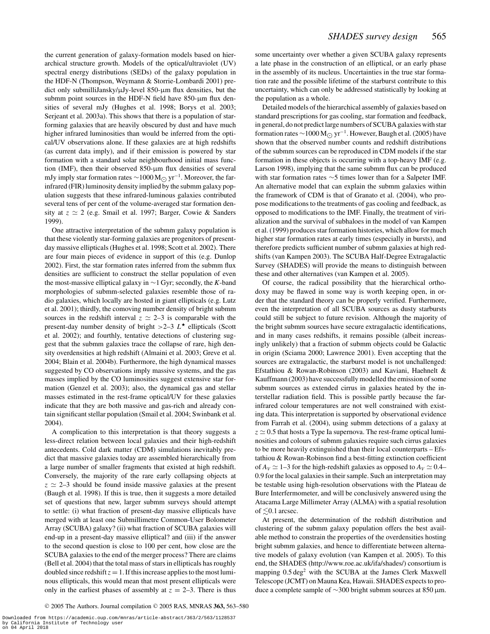the current generation of galaxy-formation models based on hierarchical structure growth. Models of the optical/ultraviolet (UV) spectral energy distributions (SEDs) of the galaxy population in the HDF-N (Thompson, Weymann & Storrie-Lombardi 2001) predict only submilliJansky/µJy-level 850-µm flux densities, but the submm point sources in the HDF-N field have  $850$ - $\mu$ m flux densities of several mJy (Hughes et al. 1998; Borys et al. 2003; Serjeant et al. 2003a). This shows that there is a population of starforming galaxies that are heavily obscured by dust and have much higher infrared luminosities than would be inferred from the optical/UV observations alone. If these galaxies are at high redshifts (as current data imply), and if their emission is powered by star formation with a standard solar neighbourhood initial mass function (IMF), then their observed 850-µm flux densities of several mJy imply star formation rates  $\sim$ 1000 M<sub> $\odot$ </sub> yr<sup>-1</sup>. Moreover, the farinfrared (FIR) luminosity density implied by the submm galaxy population suggests that these infrared-luminous galaxies contributed several tens of per cent of the volume-averaged star formation density at  $z \approx 2$  (e.g. Smail et al. 1997; Barger, Cowie & Sanders 1999).

One attractive interpretation of the submm galaxy population is that these violently star-forming galaxies are progenitors of presentday massive ellipticals (Hughes et al. 1998; Scott et al. 2002). There are four main pieces of evidence in support of this (e.g. Dunlop 2002). First, the star formation rates inferred from the submm flux densities are sufficient to construct the stellar population of even the most-massive elliptical galaxy in ∼1 Gyr; secondly, the *K*-band morphologies of submm-selected galaxies resemble those of radio galaxies, which locally are hosted in giant ellipticals (e.g. Lutz et al. 2001); thirdly, the comoving number density of bright submm sources in the redshift interval  $z \approx 2-3$  is comparable with the present-day number density of bright  $>2-3$   $L^*$  ellipticals (Scott et al. 2002); and fourthly, tentative detections of clustering suggest that the submm galaxies trace the collapse of rare, high density overdensities at high redshift (Almaini et al. 2003; Greve et al. 2004; Blain et al. 2004b). Furthermore, the high dynamical masses suggested by CO observations imply massive systems, and the gas masses implied by the CO luminosities suggest extensive star formation (Genzel et al. 2003); also, the dynamical gas and stellar masses estimated in the rest-frame optical/UV for these galaxies indicate that they are both massive and gas-rich and already contain significant stellar population (Smail et al. 2004; Swinbank et al. 2004).

A complication to this interpretation is that theory suggests a less-direct relation between local galaxies and their high-redshift antecedents. Cold dark matter (CDM) simulations inevitably predict that massive galaxies today are assembled hierarchically from a large number of smaller fragments that existed at high redshift. Conversely, the majority of the rare early collapsing objects at  $z \approx 2-3$  should be found inside massive galaxies at the present (Baugh et al. 1998). If this is true, then it suggests a more detailed set of questions that new, larger submm surveys should attempt to settle: (i) what fraction of present-day massive ellipticals have merged with at least one Submillimetre Common-User Bolometer Array (SCUBA) galaxy? (ii) what fraction of SCUBA galaxies will end-up in a present-day massive elliptical? and (iii) if the answer to the second question is close to 100 per cent, how close are the SCUBA galaxies to the end of the merger process? There are claims (Bell et al. 2004) that the total mass of stars in ellipticals has roughly doubled since redshift  $z = 1$ . If this increase applies to the most luminous ellipticals, this would mean that most present ellipticals were only in the earliest phases of assembly at  $z = 2-3$ . There is thus some uncertainty over whether a given SCUBA galaxy represents a late phase in the construction of an elliptical, or an early phase in the assembly of its nucleus. Uncertainties in the true star formation rate and the possible lifetime of the starburst contribute to this uncertainty, which can only be addressed statistically by looking at the population as a whole.

Detailed models of the hierarchical assembly of galaxies based on standard prescriptions for gas cooling, star formation and feedback, in general, do not predict large numbers of SCUBA galaxies with star formation rates  $\sim$ 1000 M<sub> $\odot$ </sub> yr<sup>-1</sup>. However, Baugh et al. (2005) have shown that the observed number counts and redshift distributions of the submm sources can be reproduced in CDM models if the star formation in these objects is occurring with a top-heavy IMF (e.g. Larson 1998), implying that the same submm flux can be produced with star formation rates ∼5 times lower than for a Salpeter IMF. An alternative model that can explain the submm galaxies within the framework of CDM is that of Granato et al. (2004), who propose modifications to the treatments of gas cooling and feedback, as opposed to modifications to the IMF. Finally, the treatment of virialization and the survival of subhaloes in the model of van Kampen et al. (1999) produces star formation histories, which allow for much higher star formation rates at early times (especially in bursts), and therefore predicts sufficient number of submm galaxies at high redshifts (van Kampen 2003). The SCUBA Half-Degree Extragalactic Survey (SHADES) will provide the means to distinguish between these and other alternatives (van Kampen et al. 2005).

Of course, the radical possibility that the hierarchical orthodoxy may be flawed in some way is worth keeping open, in order that the standard theory can be properly verified. Furthermore, even the interpretation of all SCUBA sources as dusty starbursts could still be subject to future revision. Although the majority of the bright submm sources have secure extragalactic identifications, and in many cases redshifts, it remains possible (albeit increasingly unlikely) that a fraction of submm objects could be Galactic in origin (Sciama 2000; Lawrence 2001). Even accepting that the sources are extragalactic, the starburst model is not unchallenged: Efstathiou & Rowan-Robinson (2003) and Kaviani, Haehnelt & Kauffmann (2003) have successfully modelled the emission of some submm sources as extended cirrus in galaxies heated by the interstellar radiation field. This is possible partly because the farinfrared colour temperatures are not well constrained with existing data. This interpretation is supported by observational evidence from Farrah et al. (2004), using submm detections of a galaxy at  $z \approx 0.5$  that hosts a Type Ia supernova. The rest-frame optical luminosities and colours of submm galaxies require such cirrus galaxies to be more heavily extinguished than their local counterparts – Efstathiou & Rowan-Robinson find a best-fitting extinction coefficient of  $A_V \simeq 1-3$  for the high-redshift galaxies as opposed to  $A_V \simeq 0.4-$ 0.9 for the local galaxies in their sample. Such an interpretation may be testable using high-resolution observations with the Plateau de Bure Interfermometer, and will be conclusively answered using the Atacama Large Millimeter Array (ALMA) with a spatial resolution of  $\leq 0.1$  arcsec.

At present, the determination of the redshift distribution and clustering of the submm galaxy population offers the best available method to constrain the properties of the overdensities hosting bright submm galaxies, and hence to differentiate between alternative models of galaxy evolution (van Kampen et al. 2005). To this end, the SHADES (http://www.roe.ac.uk/ifa/shades/) consortium is mapping  $0.5 \text{ deg}^2$  with the SCUBA at the James Clerk Maxwell Telescope (JCMT) on Mauna Kea, Hawaii. SHADES expects to produce a complete sample of ∼300 bright submm sources at 850 µm.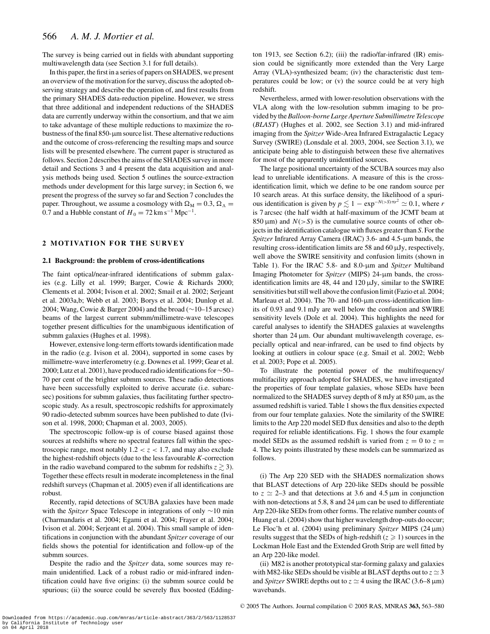The survey is being carried out in fields with abundant supporting multiwavelength data (see Section 3.1 for full details).

In this paper, the first in a series of papers on SHADES, we present an overview of the motivation for the survey, discuss the adopted observing strategy and describe the operation of, and first results from the primary SHADES data-reduction pipeline. However, we stress that three additional and independent reductions of the SHADES data are currently underway within the consortium, and that we aim to take advantage of these multiple reductions to maximize the robustness of the final  $850$ - $\mu$ m source list. These alternative reductions and the outcome of cross-referencing the resulting maps and source lists will be presented elsewhere. The current paper is structured as follows. Section 2 describes the aims of the SHADES survey in more detail and Sections 3 and 4 present the data acquisition and analysis methods being used. Section 5 outlines the source-extraction methods under development for this large survey; in Section 6, we present the progress of the survey so far and Section 7 concludes the paper. Throughout, we assume a cosmology with  $\Omega_M = 0.3$ ,  $\Omega_{\Lambda} =$ 0.7 and a Hubble constant of  $H_0 = 72 \text{ km s}^{-1} \text{ Mpc}^{-1}$ .

## **2 MOTIVATION FOR THE SURVEY**

#### **2.1 Background: the problem of cross-identifications**

The faint optical/near-infrared identifications of submm galaxies (e.g. Lilly et al. 1999; Barger, Cowie & Richards 2000; Clements et al. 2004; Ivison et al. 2002; Smail et al. 2002; Serjeant et al. 2003a,b; Webb et al. 2003; Borys et al. 2004; Dunlop et al. 2004; Wang, Cowie & Barger 2004) and the broad (∼10–15 arcsec) beams of the largest current submm/millimetre-wave telescopes together present difficulties for the unambiguous identification of submm galaxies (Hughes et al. 1998).

However, extensive long-term efforts towards identification made in the radio (e.g. Ivison et al. 2004), supported in some cases by millimetre-wave interferometry (e.g. Downes et al. 1999; Gear et al. 2000; Lutz et al. 2001), have produced radio identifications for  $\sim$ 50– 70 per cent of the brighter submm sources. These radio detections have been successfully exploited to derive accurate (i.e. subarcsec) positions for submm galaxies, thus facilitating further spectroscopic study. As a result, spectroscopic redshifts for approximately 90 radio-detected submm sources have been published to date (Ivison et al. 1998, 2000; Chapman et al. 2003, 2005).

The spectroscopic follow-up is of course biased against those sources at redshifts where no spectral features fall within the spectroscopic range, most notably  $1.2 < z < 1.7$ , and may also exclude the highest-redshift objects (due to the less favourable *K*-correction in the radio waveband compared to the submm for redshifts  $z \gtrsim 3$ ). Together these effects result in moderate incompleteness in the final redshift surveys (Chapman et al. 2005) even if all identifications are robust.

Recently, rapid detections of SCUBA galaxies have been made with the *Spitzer* Space Telescope in integrations of only ∼10 min (Charmandaris et al. 2004; Egami et al. 2004; Frayer et al. 2004; Ivison et al. 2004; Serjeant et al. 2004). This small sample of identifications in conjunction with the abundant *Spitzer* coverage of our fields shows the potential for identification and follow-up of the submm sources.

Despite the radio and the *Spitzer* data, some sources may remain unidentified. Lack of a robust radio or mid-infrared indentification could have five origins: (i) the submm source could be spurious; (ii) the source could be severely flux boosted (Eddington 1913, see Section 6.2); (iii) the radio/far-infrared (IR) emission could be significantly more extended than the Very Large Array (VLA)-synthesized beam; (iv) the characteristic dust temperatures could be low; or (v) the source could be at very high redshift.

Nevertheless, armed with lower-resolution observations with the VLA along with the low-resolution submm imaging to be provided by the*Balloon-borne Large Aperture Submillimetre Telescope* (*BLAST*) (Hughes et al. 2002, see Section 3.1) and mid-infrared imaging from the *Spitzer* Wide-Area Infrared Extragalactic Legacy Survey (SWIRE) (Lonsdale et al. 2003, 2004, see Section 3.1), we anticipate being able to distinguish between these five alternatives for most of the apparently unidentified sources.

The large positional uncertainty of the SCUBA sources may also lead to unreliable identifications. A measure of this is the crossidentification limit, which we define to be one random source per 10 search areas. At this surface density, the likelihood of a spurious identification is given by  $p \lesssim 1 - \exp^{-N(-S)\pi r^2} \simeq 0.1$ , where *r* is 7 arcsec (the half width at half-maximum of the JCMT beam at  $850 \,\mu m$ ) and  $N(>S)$  is the cumulative source counts of other objects in the identification catalogue with fluxes greater than *S*. Forthe *Spitzer* Infrared Array Camera (IRAC) 3.6- and 4.5-µm bands, the resulting cross-identification limits are 58 and 60 µJy, respectively, well above the SWIRE sensitivity and confusion limits (shown in Table 1). For the IRAC 5.8- and 8.0-µm and *Spitzer* Multiband Imaging Photometer for *Spitzer* (MIPS) 24-µm bands, the crossidentification limits are 48, 44 and  $120 \mu Jy$ , similar to the SWIRE sensitivities but still well above the confusion limit (Fazio et al. 2004; Marleau et al. 2004). The 70- and 160-µm cross-identification limits of 0.93 and 9.1 mJy are well below the confusion and SWIRE sensitivity levels (Dole et al. 2004). This highlights the need for careful analyses to identify the SHADES galaxies at wavelengths shorter than  $24 \mu m$ . Our abundant multiwavelength coverage, especially optical and near-infrared, can be used to find objects by looking at outliers in colour space (e.g. Smail et al. 2002; Webb et al. 2003; Pope et al. 2005).

To illustrate the potential power of the multifrequency/ multifacility approach adopted for SHADES, we have investigated the properties of four template galaxies, whose SEDs have been normalized to the SHADES survey depth of 8 mJy at 850 µm, as the assumed redshift is varied. Table 1 shows the flux densities expected from our four template galaxies. Note the similarity of the SWIRE limits to the Arp 220 model SED flux densities and also to the depth required for reliable identifications. Fig. 1 shows the four example model SEDs as the assumed redshift is varied from  $z = 0$  to  $z =$ 4. The key points illustrated by these models can be summarized as follows.

(i) The Arp 220 SED with the SHADES normalization shows that BLAST detections of Arp 220-like SEDs should be possible to  $z \approx 2-3$  and that detections at 3.6 and 4.5  $\mu$ m in conjunction with non-detections at 5.8, 8 and 24  $\mu$ m can be used to differentiate Arp 220-like SEDs from other forms. The relative number counts of Huang et al. (2004) show that higher wavelength drop-outs do occur; Le Floc'h et al. (2004) using preliminary *Spitzer* MIPS (24 µm) results suggest that the SEDs of high-redshift  $(z \ge 1)$  sources in the Lockman Hole East and the Extended Groth Strip are well fitted by an Arp 220-like model.

(ii) M82 is another prototypical star-forming galaxy and galaxies with M82-like SEDs should be visible at BLAST depths out to  $z \approx 3$ and *Spitzer* SWIRE depths out to  $z \approx 4$  using the IRAC (3.6–8  $\mu$ m) wavebands.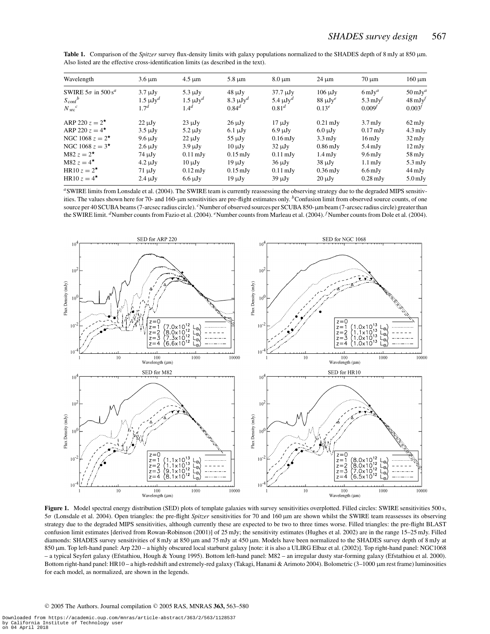| Wavelength                             | $3.6 \mu m$                        | $4.5 \mu m$                 | $5.8 \mu m$                  | $8.0 \text{ µm}$                | $24 \mu m$                  | $70 \mu m$                  | $160 \mu m$                     |
|----------------------------------------|------------------------------------|-----------------------------|------------------------------|---------------------------------|-----------------------------|-----------------------------|---------------------------------|
| SWIRE $5\sigma$ in $500 s^a$           | $3.7 \mu Jv$                       | $5.3 \mu Jv$                | $48 \mu Jy$                  | $37.7 \text{ }\mu\text{Jy}$     | $106 \mu Jy$                | $6 \,\mathrm{mJy}^a$        | $50 \mathrm{mJy}^a$             |
| $S_{\text{conf}}^b$<br>$N_{\rm src}^c$ | $1.5 \mu Jy^d$<br>1.7 <sup>d</sup> | $1.5 \mu Jy^d$<br>$1.4^{d}$ | $8.3 \mu Jy^d$<br>$0.84^{d}$ | 5.4 $\mu$ J $v^d$<br>$0.81^{d}$ | $88 \mu Jy^e$<br>$0.13^{e}$ | 5.3 mJ $v^f$<br>$0.009^{t}$ | $48 \text{ mJy}$<br>$0.003^{t}$ |
| ARP 220 $z = 2^*$                      | $22 \mu Jy$                        | $23 \mu Jy$                 | $26 \mu Jy$                  | $17 \mu Jy$                     | $0.21 \text{ mJy}$          | $3.7 \text{ mJy}$           | $62 \,\mathrm{mJy}$             |
| ARP 220 $z = 4^*$                      | $3.5 \mu Jv$                       | $5.2 \mu Jv$                | $6.1 \mu Jy$                 | $6.9 \mu Jy$                    | $6.0 \mu Jy$                | $0.17 \text{ mJy}$          | $4.3 \text{ mJy}$               |
| NGC 1068 $z = 2^*$                     | $9.6 \mu Jy$                       | $22 \mu Jy$                 | $55 \mu Jy$                  | $0.16 \,\mathrm{mJy}$           | $3.3 \text{ mJy}$           | $16 \,\mathrm{mJy}$         | $32 \,\mathrm{mJy}$             |
| NGC 1068 $z = 3^*$                     | $2.6 \mu Jv$                       | $3.9 \mu Jv$                | $10 \mu Jv$                  | $32 \mu Jy$                     | $0.86 \,\mathrm{mJy}$       | $5.4 \text{ mJy}$           | $12 \,\mathrm{mJy}$             |
| M82 $z = 2^{\star}$                    | $74 \mu Jy$                        | $0.11 \text{ mJy}$          | $0.15 \text{ mJy}$           | $0.11 \text{ mJy}$              | $1.4 \text{ mJy}$           | $9.6 \,\mathrm{mJy}$        | $58 \,\mathrm{mJy}$             |
| M82 $z = 4^{\star}$                    | $4.2 \mu Jv$                       | $10 \mu Jv$                 | $19 \mu Jy$                  | $36 \mu Jy$                     | $38 \mu Jy$                 | $1.1 \text{ mJy}$           | $5.3 \text{ mJy}$               |
| HR10 $z = 2^{\star}$                   | $71 \mu Jy$                        | $0.12 \text{ mJy}$          | $0.15 \text{ mJy}$           | $0.11 \text{ mJy}$              | $0.36 \text{ mJy}$          | $6.6 \,\mathrm{mJy}$        | $44 \,\mathrm{mJy}$             |
| HR10 $z = 4^{\star}$                   | $2.4 \mu Jy$                       | $6.6 \mu Jy$                | $19 \mu Jy$                  | $39 \mu Jy$                     | $20 \mu Jv$                 | $0.28 \text{ mJy}$          | $5.0$ mJy                       |

**Table 1.** Comparison of the *Spitzer* survey flux-density limits with galaxy populations normalized to the SHADES depth of 8 mJy at 850 µm. Also listed are the effective cross-identification limits (as described in the text).

*<sup>a</sup>*SWIRE limits from Lonsdale et al. (2004). The SWIRE team is currently reassessing the observing strategy due to the degraded MIPS sensitivities. The values shown here for 70- and 160-µm sensitivities are pre-flight estimates only. <sup>*b*</sup>Confusion limit from observed source counts, of one source per 40 SCUBA beams (7-arcsec radius circle). <sup>*c*</sup>Number of observed sources per SCUBA 850-µm beam (7-arcsec radius circle) greater than the SWIRE limit. <sup>*d*</sup>Number counts from Fazio et al. (2004). <sup>*e*</sup>Number counts from Marleau et al. (2004). <sup>*f*</sup>Number counts from Dole et al. (2004).



Figure 1. Model spectral energy distribution (SED) plots of template galaxies with survey sensitivities overplotted. Filled circles: SWIRE sensitivities 500 s, 5σ (Lonsdale et al. 2004). Open triangles: the pre-flight *Spitzer* sensitivities for 70 and 160 µm are shown whilst the SWIRE team reassesses its observing strategy due to the degraded MIPS sensitivities, although currently these are expected to be two to three times worse. Filled triangles: the pre-flight BLAST confusion limit estimates [derived from Rowan-Robinson (2001)] of 25 mJy; the sensitivity estimates (Hughes et al. 2002) are in the range 15–25 mJy. Filled diamonds: SHADES survey sensitivities of 8 mJy at 850 µm and 75 mJy at 450 µm. Models have been normalized to the SHADES survey depth of 8 mJy at 850 µm. Top left-hand panel: Arp 220 – a highly obscured local starburst galaxy [note: it is also a ULIRG Elbaz et al. (2002)]. Top right-hand panel: NGC1068 – a typical Seyfert galaxy (Efstathiou, Hough & Young 1995). Bottom left-hand panel: M82 – an irregular dusty star-forming galaxy (Efstathiou et al. 2000). Bottom right-hand panel: HR10 – a high-redshift and extremely-red galaxy (Takagi, Hanami & Arimoto 2004). Bolometric (3-1000 µm rest frame) luminosities for each model, as normalized, are shown in the legends.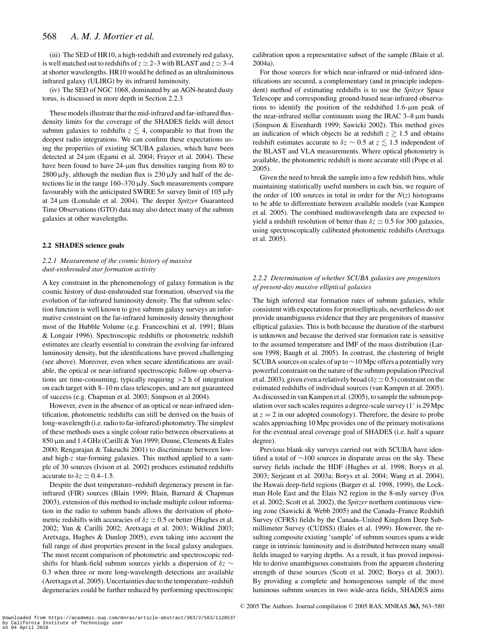(iii) The SED of HR10, a high-redshift and extremely red galaxy, is well matched out to redshifts of  $z \approx 2-3$  with BLAST and  $z \approx 3-4$ at shorter wavelengths. HR10 would be defined as an ultraluminous infrared galaxy (ULIRG) by its infrared luminosity.

(iv) The SED of NGC 1068, dominated by an AGN-heated dusty torus, is discussed in more depth in Section 2.2.3

These models illustrate that the mid-infrared and far-infrared fluxdensity limits for the coverage of the SHADES fields will detect submm galaxies to redshifts  $z \lesssim 4$ , comparable to that from the deepest radio integrations. We can confirm these expectations using the properties of existing SCUBA galaxies, which have been detected at 24  $\mu$ m (Egami et al. 2004; Frayer et al. 2004). These have been found to have 24-µm flux densities ranging from 80 to  $2800 \mu Jy$ , although the median flux is  $230 \mu Jy$  and half of the detections lie in the range 160–370 µJy. Such measurements compare favourably with the anticipated SWIRE  $5\sigma$  survey limit of 105  $\mu$ Jy at 24 µm (Lonsdale et al. 2004). The deeper *Spitzer* Guaranteed Time Observations (GTO) data may also detect many of the submm galaxies at other wavelengths.

#### **2.2 SHADES science goals**

## *2.2.1 Measurement of the cosmic history of massive dust-enshrouded star formation activity*

A key constraint in the phenomenology of galaxy formation is the cosmic history of dust-enshrouded star formation, observed via the evolution of far-infrared luminosity density. The flat submm selection function is well known to give submm galaxy surveys an informative constraint on the far-infrared luminosity density throughout most of the Hubble Volume (e.g. Franceschini et al. 1991; Blain & Longair 1996). Spectroscopic redshifts or photometric redshift estimates are clearly essential to constrain the evolving far-infrared luminosity density, but the identifications have proved challenging (see above). Moreover, even when secure identifications are available, the optical or near-infrared spectroscopic follow-up observations are time-consuming, typically requiring >2 h of integration on each target with 8–10 m class telescopes, and are not guaranteed of success (e.g. Chapman et al. 2003; Simpson et al 2004).

However, even in the absence of an optical or near-infrared identification, photometric redshifts can still be derived on the basis of long-wavelength (i.e. radio to far-infrared) photometry. The simplest of these methods uses a single colour ratio between observations at 850 µm and 1.4 GHz (Carilli & Yun 1999; Dunne, Clements & Eales 2000; Rengarajan & Takeuchi 2001) to discriminate between lowand high-*z* star-forming galaxies. This method applied to a sample of 30 sources (Ivison et al. 2002) produces estimated redshifts accurate to  $\delta z \simeq 0.4$ –1.5.

Despite the dust temperature–redshift degeneracy present in farinfrared (FIR) sources (Blain 1999; Blain, Barnard & Chapman 2003), extension of this method to include multiple colour information in the radio to submm bands allows the derivation of photometric redshifts with accuracies of  $\delta z \simeq 0.5$  or better (Hughes et al. 2002; Yun & Carilli 2002; Aretxaga et al. 2003; Wiklind 2003; Aretxaga, Hughes & Dunlop 2005), even taking into account the full range of dust properties present in the local galaxy analogues. The most recent comparison of photometric and spectroscopic redshifts for blank-field submm sources yields a dispersion of δ*z* ∼ 0.3 when three or more long-wavelength detections are available (Aretxaga et al. 2005). Uncertainties due to the temperature–redshift degeneracies could be further reduced by performing spectroscopic calibration upon a representative subset of the sample (Blain et al. 2004a).

For those sources for which near-infrared or mid-infrared identifications are secured, a complementary (and in principle independent) method of estimating redshifts is to use the *Spitzer* Space Telescope and corresponding ground-based near-infrared observations to identify the position of the redshifted 1.6-µm peak of the near-infrared stellar continuum using the IRAC 3–8 µm bands (Simpson & Eisenhardt 1999; Sawicki 2002). This method gives an indication of which objects lie at redshift  $z \gtrsim 1.5$  and obtains redshift estimates accurate to  $\delta z \sim 0.5$  at  $z \lesssim 1.5$  independent of the BLAST and VLA measurements. Where optical photometry is available, the photometric redshift is more accurate still (Pope et al. 2005).

Given the need to break the sample into a few redshift bins, while maintaining statistically useful numbers in each bin, we require of the order of 100 sources in total in order for the  $N(z)$  histograms to be able to differentiate between available models (van Kampen et al. 2005). The combined multiwavelength data are expected to yield a redshift resolution of better than  $\delta z \simeq 0.5$  for 300 galaxies, using spectroscopically calibrated photometric redshifts (Aretxaga et al. 2005).

## *2.2.2 Determination of whether SCUBA galaxies are progenitors of present-day massive elliptical galaxies*

The high inferred star formation rates of submm galaxies, while consistent with expectations for protoellipticals, nevertheless do not provide unambiguous evidence that they are progenitors of massive elliptical galaxies. This is both because the duration of the starburst is unknown and because the derived star formation rate is sensitive to the assumed temperature and IMF of the mass distribution (Larson 1998; Baugh et al. 2005). In contrast, the clustering of bright SCUBA sources on scales of up to ∼10 Mpc offers a potentially very powerful constraint on the nature of the submm population (Percival et al. 2003), given even a relatively broad ( $\delta z \simeq 0.5$ ) constraint on the estimated redshifts of individual sources (van Kampen et al. 2005). As discussed in van Kampen et al. (2005), to sample the submm population over such scales requires a degree-scale survey ( $1°$  is 29 Mpc at  $z = 2$  in our adopted cosmology). Therefore, the desire to probe scales approaching 10 Mpc provides one of the primary motivations for the eventual areal coverage goal of SHADES (i.e. half a square degree).

Previous blank-sky surveys carried out with SCUBA have identified a total of ∼100 sources in disparate areas on the sky. These survey fields include the HDF (Hughes et al. 1998; Borys et al. 2003; Serjeant et al. 2003a; Borys et al. 2004; Wang et al. 2004), the Hawaii deep-field regions (Barger et al. 1998, 1999), the Lockman Hole East and the Elais N2 region in the 8-mJy survey (Fox et al. 2002; Scott et al. 2002), the *Spitzer* northern continuous viewing zone (Sawicki & Webb 2005) and the Canada–France Redshift Survey (CFRS) fields by the Canada–United Kingdom Deep Submillimeter Survey (CUDSS) (Eales et al. 1999). However, the resulting composite existing 'sample' of submm sources spans a wide range in intrinsic luminosity and is distributed between many small fields imaged to varying depths. As a result, it has proved impossible to derive unambiguous constraints from the apparent clustering strength of these sources (Scott et al. 2002; Borys et al. 2003). By providing a complete and homogeneous sample of the most luminous submm sources in two wide-area fields, SHADES aims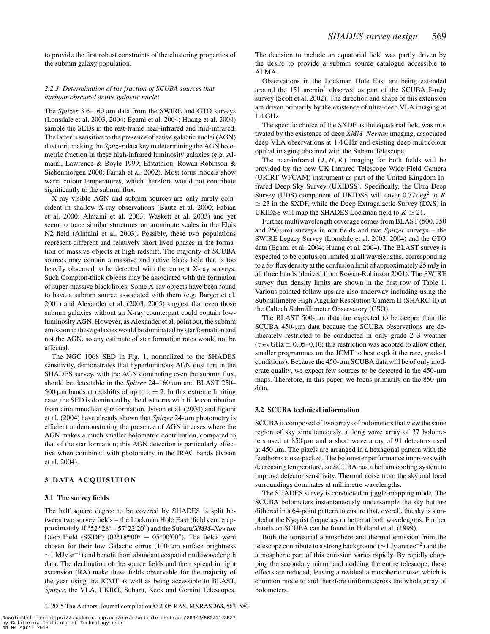to provide the first robust constraints of the clustering properties of the submm galaxy population.

## *2.2.3 Determination of the fraction of SCUBA sources that harbour obscured active galactic nuclei*

The *Spitzer* 3.6–160 µm data from the SWIRE and GTO surveys (Lonsdale et al. 2003, 2004; Egami et al. 2004; Huang et al. 2004) sample the SEDs in the rest-frame near-infrared and mid-infrared. The latter is sensitive to the presence of active galactic nuclei (AGN) dust tori, making the *Spitzer* data key to determining the AGN bolometric fraction in these high-infrared luminosity galaxies (e.g. Almaini, Lawrence & Boyle 1999; Efstathiou, Rowan-Robinson & Siebenmorgen 2000; Farrah et al. 2002). Most torus models show warm colour temperatures, which therefore would not contribute significantly to the submm flux.

X-ray visible AGN and submm sources are only rarely coincident in shallow X-ray observations (Bautz et al. 2000; Fabian et al. 2000; Almaini et al. 2003; Waskett et al. 2003) and yet seem to trace similar structures on arcminute scales in the Elais N2 field (Almaini et al. 2003). Possibly, these two populations represent different and relatively short-lived phases in the formation of massive objects at high redshift. The majority of SCUBA sources may contain a massive and active black hole that is too heavily obscured to be detected with the current X-ray surveys. Such Compton-thick objects may be associated with the formation of super-massive black holes. Some X-ray objects have been found to have a submm source associated with them (e.g. Barger et al. 2001) and Alexander et al. (2003, 2005) suggest that even those submm galaxies without an X-ray counterpart could contain lowluminosity AGN. However, as Alexander et al. point out, the submm emission in these galaxies would be dominated by star formation and not the AGN, so any estimate of star formation rates would not be affected.

The NGC 1068 SED in Fig. 1, normalized to the SHADES sensitivity, demonstrates that hyperluminous AGN dust tori in the SHADES survey, with the AGN dominating even the submm flux, should be detectable in the *Spitzer* 24-160 µm and BLAST 250-500  $\mu$ m bands at redshifts of up to  $z = 2$ . In this extreme limiting case, the SED is dominated by the dust torus with little contribution from circumnuclear star formation. Ivison et al. (2004) and Egami et al. (2004) have already shown that *Spitzer* 24-µm photometry is efficient at demonstrating the presence of AGN in cases where the AGN makes a much smaller bolometric contribution, compared to that of the star formation; this AGN detection is particularly effective when combined with photometry in the IRAC bands (Ivison et al. 2004).

# **3 DATA ACQUISITION**

## **3.1 The survey fields**

The half square degree to be covered by SHADES is split between two survey fields – the Lockman Hole East (field centre approximately  $10^{\text{h}}52^{\text{m}}28^{\text{s}} + 57^{\circ}22'20'$  and the Subaru/*XMM–Newton* Deep Field (SXDF)  $(02^h18^m00^s - 05°00'00'')$ . The fields were chosen for their low Galactic cirrus (100-µm surface brightness  $\sim$ 1 MJy sr<sup>-1</sup>) and benefit from abundant cospatial multiwavelength data. The declination of the source fields and their spread in right ascension (RA) make these fields observable for the majority of the year using the JCMT as well as being accessible to BLAST, *Spitzer*, the VLA, UKIRT, Subaru, Keck and Gemini Telescopes.

<sup>C</sup> 2005 The Authors. Journal compilation <sup>C</sup> 2005 RAS, MNRAS **363,** 563–580

The decision to include an equatorial field was partly driven by the desire to provide a submm source catalogue accessible to ALMA.

Observations in the Lockman Hole East are being extended around the 151 arcmin<sup>2</sup> observed as part of the SCUBA 8-mJy survey (Scott et al. 2002). The direction and shape of this extension are driven primarily by the existence of ultra-deep VLA imaging at 1.4 GHz.

The specific choice of the SXDF as the equatorial field was motivated by the existence of deep *XMM–Newton* imaging, associated deep VLA observations at 1.4 GHz and existing deep multicolour optical imaging obtained with the Subaru Telescope.

The near-infrared  $(J, H, K)$  imaging for both fields will be provided by the new UK Infrared Telescope Wide Field Camera (UKIRT WFCAM) instrument as part of the United Kingdom Infrared Deep Sky Survey (UKIDSS). Specifically, the Ultra Deep Survey (UDS) component of UKIDSS will cover 0.77 deg<sup>2</sup> to *K*  $\simeq$  23 in the SXDF, while the Deep Extragalactic Survey (DXS) in UKIDSS will map the SHADES Lockman field to  $K \simeq 21$ .

Further multiwavelength coverage comes from BLAST (500, 350 and  $250 \,\mu m$ ) surveys in our fields and two *Spitzer* surveys – the SWIRE Legacy Survey (Lonsdale et al. 2003, 2004) and the GTO data (Egami et al. 2004; Huang et al. 2004). The BLAST survey is expected to be confusion limited at all wavelengths, corresponding to a  $5\sigma$  flux density at the confusion limit of approximately 25 mJy in all three bands (derived from Rowan-Robinson 2001). The SWIRE survey flux density limits are shown in the first row of Table 1. Various pointed follow-ups are also underway including using the Submillimetre High Angular Resolution Camera II (SHARC-II) at the Caltech Submillimeter Observatory (CSO).

The BLAST 500-µm data are expected to be deeper than the SCUBA 450-µm data because the SCUBA observations are deliberately restricted to be conducted in only grade 2–3 weather  $(\tau_{225} \text{ GHz} \simeq 0.05{\text{-}}0.10; \text{ this restriction was adopted to allow other},$ smaller programmes on the JCMT to best exploit the rare, grade-1 conditions). Because the 450-µm SCUBA data will be of only moderate quality, we expect few sources to be detected in the 450-µm maps. Therefore, in this paper, we focus primarily on the 850-µm data.

## **3.2 SCUBA technical information**

SCUBA is composed of two arrays of bolometers that view the same region of sky simultaneously, a long wave array of 37 bolometers used at 850 µm and a short wave array of 91 detectors used at  $450 \mu m$ . The pixels are arranged in a hexagonal pattern with the feedhorns close-packed. The bolometer performance improves with decreasing temperature, so SCUBA has a helium cooling system to improve detector sensitivity. Thermal noise from the sky and local surroundings dominates at millimetre wavelengths.

The SHADES survey is conducted in jiggle-mapping mode. The SCUBA bolometers instantaneously undersample the sky but are dithered in a 64-point pattern to ensure that, overall, the sky is sampled at the Nyquist frequency or better at both wavelengths. Further details on SCUBA can be found in Holland et al. (1999).

Both the terrestrial atmosphere and thermal emission from the telescope contribute to a strong background (∼1 Jy arcsec−2) and the atmospheric part of this emission varies rapidly. By rapidly chopping the secondary mirror and nodding the entire telescope, these effects are reduced, leaving a residual atmospheric noise, which is common mode to and therefore uniform across the whole array of bolometers.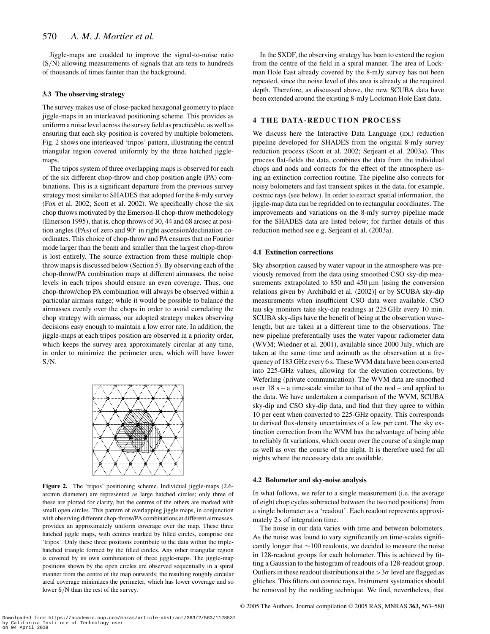Jiggle-maps are coadded to improve the signal-to-noise ratio (S/N) allowing measurements of signals that are tens to hundreds of thousands of times fainter than the background.

#### **3.3 The observing strategy**

The survey makes use of close-packed hexagonal geometry to place jiggle-maps in an interleaved positioning scheme. This provides as uniform a noise level across the survey field as practicable, as well as ensuring that each sky position is covered by multiple bolometers. Fig. 2 shows one interleaved 'tripos' pattern, illustrating the central triangular region covered uniformly by the three hatched jigglemaps.

The tripos system of three overlapping maps is observed for each of the six different chop-throw and chop position angle (PA) combinations. This is a significant departure from the previous survey strategy most similar to SHADES that adopted for the 8-mJy survey (Fox et al. 2002; Scott et al. 2002). We specifically chose the six chop throws motivated by the Emerson-II chop-throw methodology (Emerson 1995), that is, chop throws of 30, 44 and 68 arcsec at position angles (PAs) of zero and  $90^\circ$  in right ascension/declination coordinates. This choice of chop-throw and PA ensures that no Fourier mode larger than the beam and smaller than the largest chop-throw is lost entirely. The source extraction from these multiple chopthrow maps is discussed below (Section 5). By observing each of the chop-throw/PA combination maps at different airmasses, the noise levels in each tripos should ensure an even coverage. Thus, one chop-throw/chop PA combination will always be observed within a particular airmass range; while it would be possible to balance the airmasses evenly over the chops in order to avoid correlating the chop strategy with airmass, our adopted strategy makes observing decisions easy enough to maintain a low error rate. In addition, the jiggle-maps at each tripos position are observed in a priority order, which keeps the survey area approximately circular at any time, in order to minimize the perimeter area, which will have lower  $S/N$ .



**Figure 2.** The 'tripos' positioning scheme. Individual jiggle-maps (2.6 arcmin diameter) are represented as large hatched circles; only three of these are plotted for clarity, but the centres of the others are marked with small open circles. This pattern of overlapping jiggle maps, in conjunction with observing different chop-throw/PA combinations at different airmasses, provides an approximately uniform coverage over the map. These three hatched jiggle maps, with centres marked by filled circles, comprise one 'tripos'. Only these three positions contribute to the data within the triplehatched triangle formed by the filled circles. Any other triangular region is covered by its own combination of three jiggle-maps. The jiggle-map positions shown by the open circles are observed sequentially in a spiral manner from the centre of the map outwards; the resulting roughly circular areal coverage minimizes the perimeter, which has lower coverage and so lower S/N than the rest of the survey.

In the SXDF, the observing strategy has been to extend the region from the centre of the field in a spiral manner. The area of Lockman Hole East already covered by the 8-mJy survey has not been repeated, since the noise level of this area is already at the required depth. Therefore, as discussed above, the new SCUBA data have been extended around the existing 8-mJy Lockman Hole East data.

## **4 THE DATA-REDUCTION PROCESS**

We discuss here the Interactive Data Language (IDL) reduction pipeline developed for SHADES from the original 8-mJy survey reduction process (Scott et al. 2002; Serjeant et al. 2003a). This process flat-fields the data, combines the data from the individual chops and nods and corrects for the effect of the atmosphere using an extinction correction routine. The pipeline also corrects for noisy bolometers and fast transient spikes in the data, for example, cosmic rays (see below). In order to extract spatial information, the jiggle-map data can be regridded on to rectangular coordinates. The improvements and variations on the 8-mJy survey pipeline made for the SHADES data are listed below; for further details of this reduction method see e.g. Serjeant et al. (2003a).

#### **4.1 Extinction corrections**

Sky absorption caused by water vapour in the atmosphere was previously removed from the data using smoothed CSO sky-dip measurements extrapolated to  $850$  and  $450 \,\mu m$  [using the conversion relations given by Archibald et al. (2002)] or by SCUBA sky-dip measurements when insufficient CSO data were available. CSO tau sky monitors take sky-dip readings at 225 GHz every 10 min. SCUBA sky-dips have the benefit of being at the observation wavelength, but are taken at a different time to the observations. The new pipeline preferentially uses the water vapour radiometer data (WVM; Wiedner et al. 2001), available since 2000 July, which are taken at the same time and azimuth as the observation at a frequency of 183 GHz every 6 s. These WVM data have been converted into 225-GHz values, allowing for the elevation corrections, by Weferling (private communication). The WVM data are smoothed over  $18 s - a$  time-scale similar to that of the nod – and applied to the data. We have undertaken a comparison of the WVM, SCUBA sky-dip and CSO sky-dip data, and find that they agree to within 10 per cent when converted to 225-GHz opacity. This corresponds to derived flux-density uncertainties of a few per cent. The sky extinction correction from the WVM has the advantage of being able to reliably fit variations, which occur over the course of a single map as well as over the course of the night. It is therefore used for all nights where the necessary data are available.

## **4.2 Bolometer and sky-noise analysis**

In what follows, we refer to a single measurement (i.e. the average of eight chop cycles subtracted between the two nod positions) from a single bolometer as a 'readout'. Each readout represents approximately 2 s of integration time.

The noise in our data varies with time and between bolometers. As the noise was found to vary significantly on time-scales significantly longer that ∼100 readouts, we decided to measure the noise in 128-readout groups for each bolometer. This is achieved by fitting a Gaussian to the histogram of readouts of a 128-readout group. Outliers in these readout distributions at the  $>3\sigma$  level are flagged as glitches. This filters out cosmic rays. Instrument systematics should be removed by the nodding technique. We find, nevertheless, that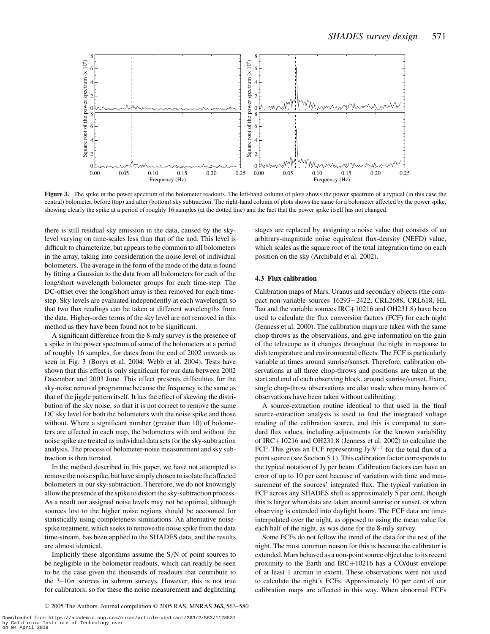

**Figure 3.** The spike in the power spectrum of the bolometer readouts. The left-hand column of plots shows the power spectrum of a typical (in this case the central) bolometer, before (top) and after (bottom) sky subtraction. The right-hand column of plots shows the same for a bolometer affected by the power spike, showing clearly the spike at a period of roughly 16 samples (at the dotted line) and the fact that the power spike itself has not changed.

there is still residual sky emission in the data, caused by the skylevel varying on time-scales less than that of the nod. This level is difficult to characterize, but appears to be common to all bolometers in the array, taking into consideration the noise level of individual bolometers. The average in the form of the mode of the data is found by fitting a Gaussian to the data from all bolometers for each of the long/short wavelength bolometer groups for each time-step. The DC-offset over the long/short array is then removed for each timestep. Sky levels are evaluated independently at each wavelength so that two flux readings can be taken at different wavelengths from the data. Higher-order terms of the sky level are not removed in this method as they have been found not to be significant.

A significant difference from the 8-mJy survey is the presence of a spike in the power spectrum of some of the bolometers at a period of roughly 16 samples, for dates from the end of 2002 onwards as seen in Fig. 3 (Borys et al. 2004; Webb et al. 2004). Tests have shown that this effect is only significant for our data between 2002 December and 2003 June. This effect presents difficulties for the sky-noise removal programme because the frequency is the same as that of the jiggle pattern itself. It has the effect of skewing the distribution of the sky noise, so that it is not correct to remove the same DC sky level for both the bolometers with the noise spike and those without. Where a significant number (greater than 10) of bolometers are affected in each map, the bolometers with and without the noise spike are treated as individual data sets for the sky-subtraction analysis. The process of bolometer-noise measurement and sky subtraction is then iterated.

In the method described in this paper, we have not attempted to remove the noise spike, but have simply chosen to isolate the affected bolometers in our sky-subtraction. Therefore, we do not knowingly allow the presence of the spike to distort the sky-subtraction process. As a result our assigned noise levels may not be optimal, although sources lost to the higher noise regions should be accounted for statistically using completeness simulations. An alternative noisespike treatment, which seeks to remove the noise spike from the data time-stream, has been applied to the SHADES data, and the results are almost identical.

Implicitly these algorithms assume the S/N of point sources to be negligible in the bolometer readouts, which can readily be seen to be the case given the thousands of readouts that contribute to the  $3-10\sigma$  sources in submm surveys. However, this is not true for calibrators, so for these the noise measurement and deglitching stages are replaced by assigning a noise value that consists of an arbitrary-magnitude noise equivalent flux-density (NEFD) value, which scales as the square root of the total integration time on each position on the sky (Archibald et al. 2002).

#### **4.3 Flux calibration**

Calibration maps of Mars, Uranus and secondary objects (the compact non-variable sources 16293−2422, CRL2688, CRL618, HL Tau and the variable sources IRC+10216 and OH231.8) have been used to calculate the flux conversion factors (FCF) for each night (Jenness et al. 2000). The calibration maps are taken with the same chop throws as the observations, and give information on the gain of the telescope as it changes throughout the night in response to dish temperature and environmental effects. The FCF is particularly variable at times around sunrise/sunset. Therefore, calibration observations at all three chop-throws and positions are taken at the start and end of each observing block, around sunrise/sunset. Extra, single chop-throw observations are also made when many hours of observations have been taken without calibrating.

A source-extraction routine identical to that used in the final source-extraction analysis is used to find the integrated voltage reading of the calibration source, and this is compared to standard flux values, including adjustments for the known variability of IRC+10216 and OH231.8 (Jenness et al. 2002) to calculate the FCF. This gives an FCF representing Jy V<sup>-1</sup> for the total flux of a point source (see Section 5.1). This calibration factor corresponds to the typical notation of Jy per beam. Calibration factors can have an error of up to 10 per cent because of variation with time and measurement of the sources' integrated flux. The typical variation in FCF across any SHADES shift is approximately 5 per cent, though this is larger when data are taken around sunrise or sunset, or when observing is extended into daylight hours. The FCF data are timeinterpolated over the night, as opposed to using the mean value for each half of the night, as was done for the 8-mJy survey.

Some FCFs do not follow the trend of the data for the rest of the night. The most common reason for this is because the calibrator is extended. Mars behaved as a non-point source object due to its recent proximity to the Earth and IRC+10216 has a CO/dust envelope of at least 1 arcmin in extent. These observations were not used to calculate the night's FCFs. Approximately 10 per cent of our calibration maps are affected in this way. When abnormal FCFs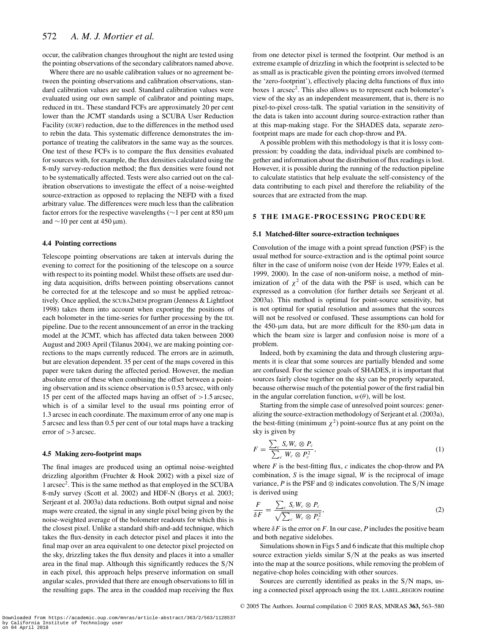occur, the calibration changes throughout the night are tested using the pointing observations of the secondary calibrators named above.

Where there are no usable calibration values or no agreement between the pointing observations and calibration observations, standard calibration values are used. Standard calibration values were evaluated using our own sample of calibrator and pointing maps, reduced in IDL. These standard FCFs are approximately 20 per cent lower than the JCMT standards using a SCUBA User Reduction Facility (SURF) reduction, due to the differences in the method used to rebin the data. This systematic difference demonstrates the importance of treating the calibrators in the same way as the sources. One test of these FCFs is to compare the flux densities evaluated for sources with, for example, the flux densities calculated using the 8-mJy survey-reduction method; the flux densities were found not to be systematically affected. Tests were also carried out on the calibration observations to investigate the effect of a noise-weighted source-extraction as opposed to replacing the NEFD with a fixed arbitrary value. The differences were much less than the calibration factor errors for the respective wavelengths (∼1 per cent at 850 µm and  $\sim$ 10 per cent at 450 µm).

#### **4.4 Pointing corrections**

Telescope pointing observations are taken at intervals during the evening to correct for the positioning of the telescope on a source with respect to its pointing model. Whilst these offsets are used during data acquisition, drifts between pointing observations cannot be corrected for at the telescope and so must be applied retroactively. Once applied, the SCUBA2MEM program (Jenness & Lightfoot 1998) takes them into account when exporting the positions of each bolometer in the time-series for further processing by the IDL pipeline. Due to the recent announcement of an error in the tracking model at the JCMT, which has affected data taken between 2000 August and 2003 April (Tilanus 2004), we are making pointing corrections to the maps currently reduced. The errors are in azimuth, but are elevation dependent. 35 per cent of the maps covered in this paper were taken during the affected period. However, the median absolute error of these when combining the offset between a pointing observation and its science observation is 0.53 arcsec, with only 15 per cent of the affected maps having an offset of >1.5 arcsec, which is of a similar level to the usual rms pointing error of 1.3 arcsec in each coordinate. The maximum error of any one map is 5 arcsec and less than 0.5 per cent of our total maps have a tracking error of >3 arcsec.

#### **4.5 Making zero-footprint maps**

The final images are produced using an optimal noise-weighted drizzling algorithm (Fruchter & Hook 2002) with a pixel size of 1 arcsec2. This is the same method as that employed in the SCUBA 8-mJy survey (Scott et al. 2002) and HDF-N (Borys et al. 2003; Serjeant et al. 2003a) data reductions. Both output signal and noise maps were created, the signal in any single pixel being given by the noise-weighted average of the bolometer readouts for which this is the closest pixel. Unlike a standard shift-and-add technique, which takes the flux-density in each detector pixel and places it into the final map over an area equivalent to one detector pixel projected on the sky, drizzling takes the flux density and places it into a smaller area in the final map. Although this significantly reduces the S/N in each pixel, this approach helps preserve information on small angular scales, provided that there are enough observations to fill in the resulting gaps. The area in the coadded map receiving the flux

from one detector pixel is termed the footprint. Our method is an extreme example of drizzling in which the footprint is selected to be as small as is practicable given the pointing errors involved (termed the 'zero-footprint'), effectively placing delta functions of flux into boxes 1 arcsec<sup>2</sup>. This also allows us to represent each bolometer's view of the sky as an independent measurement, that is, there is no pixel-to-pixel cross-talk. The spatial variation in the sensitivity of the data is taken into account during source-extraction rather than at this map-making stage. For the SHADES data, separate zerofootprint maps are made for each chop-throw and PA.

A possible problem with this methodology is that it is lossy compression: by coadding the data, individual pixels are combined together and information about the distribution of flux readings is lost. However, it is possible during the running of the reduction pipeline to calculate statistics that help evaluate the self-consistency of the data contributing to each pixel and therefore the reliability of the sources that are extracted from the map.

## **5 THE IMAGE-PROCESSING PROCEDURE**

#### **5.1 Matched-filter source-extraction techniques**

Convolution of the image with a point spread function (PSF) is the usual method for source-extraction and is the optimal point source filter in the case of uniform noise (von der Heide 1979; Eales et al. 1999, 2000). In the case of non-uniform noise, a method of minimization of  $\chi^2$  of the data with the PSF is used, which can be expressed as a convolution (for further details see Serjeant et al. 2003a). This method is optimal for point-source sensitivity, but is not optimal for spatial resolution and assumes that the sources will not be resolved or confused. These assumptions can hold for the 450- $\mu$ m data, but are more difficult for the 850- $\mu$ m data in which the beam size is larger and confusion noise is more of a problem.

Indeed, both by examining the data and through clustering arguments it is clear that some sources are partially blended and some are confused. For the science goals of SHADES, it is important that sources fairly close together on the sky can be properly separated, because otherwise much of the potential power of the first radial bin in the angular correlation function,  $w(\theta)$ , will be lost.

Starting from the simple case of unresolved point sources: generalizing the source-extraction methodology of Serjeant et al. (2003a), the best-fitting (minimum  $\chi^2$ ) point-source flux at any point on the sky is given by

$$
F = \frac{\sum_{c} S_c W_c \otimes P_c}{\sum_{c} W_c \otimes P_c^2},\tag{1}
$$

where  $F$  is the best-fitting flux,  $c$  indicates the chop-throw and PA combination, *S* is the image signal, *W* is the reciprocal of image variance,  $P$  is the PSF and  $\otimes$  indicates convolution. The S/N image is derived using

$$
\frac{F}{\delta F} = \frac{\sum_{c} S_{c} W_{c} \otimes P_{c}}{\sqrt{\sum_{c} W_{c} \otimes P_{c}^{2}}},\tag{2}
$$

where  $\delta F$  is the error on *F*. In our case, *P* includes the positive beam and both negative sidelobes.

Simulations shown in Figs 5 and 6 indicate that this multiple chop source extraction yields similar S/N at the peaks as was inserted into the map at the source positions, while removing the problem of negative-chop holes coinciding with other sources.

Sources are currently identified as peaks in the S/N maps, using a connected pixel approach using the IDL LABEL REGION routine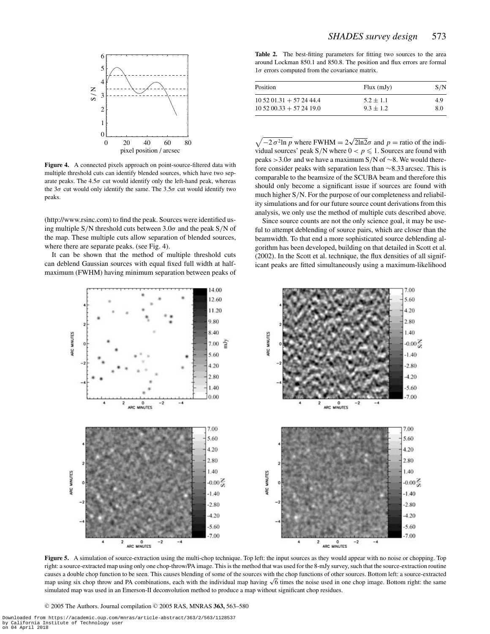

**Figure 4.** A connected pixels approach on point-source-filtered data with multiple threshold cuts can identify blended sources, which have two separate peaks. The  $4.5\sigma$  cut would identify only the left-hand peak, whereas the  $3\sigma$  cut would only identify the same. The  $3.5\sigma$  cut would identify two peaks.

(http://www.rsinc.com) to find the peak. Sources were identified using multiple S/N threshold cuts between  $3.0\sigma$  and the peak S/N of the map. These multiple cuts allow separation of blended sources, where there are separate peaks. (see Fig. 4).

It can be shown that the method of multiple threshold cuts can deblend Gaussian sources with equal fixed full width at halfmaximum (FWHM) having minimum separation between peaks of

Table 2. The best-fitting parameters for fitting two sources to the area around Lockman 850.1 and 850.8. The position and flux errors are formal  $1\sigma$  errors computed from the covariance matrix.

| Position                       | $Flux$ (mJy)  | S/N |
|--------------------------------|---------------|-----|
| $10\,52\,01.31 + 57\,24\,44.4$ | $5.2 \pm 1.1$ | 4.9 |
| $10\,52\,00.33 + 57\,24\,19.0$ | $9.3 + 1.2$   | 8.0 |

 $\sqrt{-2 \sigma^2 \ln p}$  where FWHM =  $2\sqrt{2\ln 2} \sigma$  and  $p =$  ratio of the individual sources' peak S/N where  $0 < p \le 1$ . Sources are found with peaks >3.0 $\sigma$  and we have a maximum S/N of ∼8. We would therefore consider peaks with separation less than ∼8.33 arcsec. This is comparable to the beamsize of the SCUBA beam and therefore this should only become a significant issue if sources are found with much higher S/N. For the purpose of our completeness and reliability simulations and for our future source count derivations from this analysis, we only use the method of multiple cuts described above.

Since source counts are not the only science goal, it may be useful to attempt deblending of source pairs, which are closer than the beamwidth. To that end a more sophisticated source deblending algorithm has been developed, building on that detailed in Scott et al. (2002). In the Scott et al. technique, the flux densities of all significant peaks are fitted simultaneously using a maximum-likelihood



**Figure 5.** A simulation of source-extraction using the multi-chop technique. Top left: the input sources as they would appear with no noise or chopping. Top right: a source-extracted map using only one chop-throw/PA image. This is the method that was used for the 8-mJy survey, such that the source-extraction routine causes a double chop function to be seen. This causes blending of some of the sources with the chop functions of other sources. Bottom left: a source-extracted map using six chop throw and PA combinations, each with the individual map having  $\sqrt{6}$  times the noise used in one chop image. Bottom right: the same simulated map was used in an Emerson-II deconvolution method to produce a map without significant chop residues.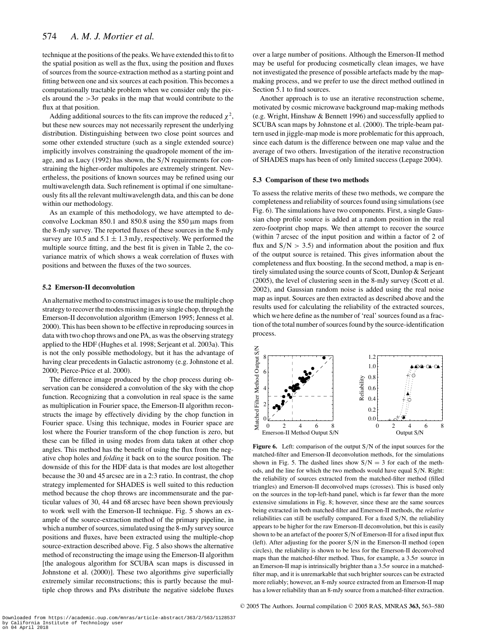technique at the positions of the peaks. We have extended this to fit to the spatial position as well as the flux, using the position and fluxes of sources from the source-extraction method as a starting point and fitting between one and six sources at each position. This becomes a computationally tractable problem when we consider only the pixels around the  $>3\sigma$  peaks in the map that would contribute to the flux at that position.

Adding additional sources to the fits can improve the reduced  $\chi^2$ , but these new sources may not necessarily represent the underlying distribution. Distinguishing between two close point sources and some other extended structure (such as a single extended source) implicitly involves constraining the quadropole moment of the image, and as Lucy (1992) has shown, the S/N requirements for constraining the higher-order multipoles are extremely stringent. Nevertheless, the positions of known sources may be refined using our multiwavelength data. Such refinement is optimal if one simultaneously fits all the relevant multiwavelength data, and this can be done within our methodology.

As an example of this methodology, we have attempted to deconvolve Lockman  $850.1$  and  $850.8$  using the  $850 \,\mu m$  maps from the 8-mJy survey. The reported fluxes of these sources in the 8-mJy survey are 10.5 and  $5.1 \pm 1.3$  mJy, respectively. We performed the multiple source fitting, and the best fit is given in Table 2, the covariance matrix of which shows a weak correlation of fluxes with positions and between the fluxes of the two sources.

#### **5.2 Emerson-II deconvolution**

An alternative method to construct images is to use the multiple chop strategy to recover the modes missing in any single chop, through the Emerson-II deconvolution algorithm (Emerson 1995; Jenness et al. 2000). This has been shown to be effective in reproducing sources in data with two chop throws and one PA, as was the observing strategy applied to the HDF (Hughes et al. 1998; Serjeant et al. 2003a). This is not the only possible methodology, but it has the advantage of having clear precedents in Galactic astronomy (e.g. Johnstone et al. 2000; Pierce-Price et al. 2000).

The difference image produced by the chop process during observation can be considered a convolution of the sky with the chop function. Recognizing that a convolution in real space is the same as multiplication in Fourier space, the Emerson-II algorithm reconstructs the image by effectively dividing by the chop function in Fourier space. Using this technique, modes in Fourier space are lost where the Fourier transform of the chop function is zero, but these can be filled in using modes from data taken at other chop angles. This method has the benefit of using the flux from the negative chop holes and *folding* it back on to the source position. The downside of this for the HDF data is that modes are lost altogether because the 30 and 45 arcsec are in a 2:3 ratio. In contrast, the chop strategy implemented for SHADES is well suited to this reduction method because the chop throws are incommensurate and the particular values of 30, 44 and 68 arcsec have been shown previously to work well with the Emerson-II technique. Fig. 5 shows an example of the source-extraction method of the primary pipeline, in which a number of sources, simulated using the 8-mJy survey source positions and fluxes, have been extracted using the multiple-chop source-extraction described above. Fig. 5 also shows the alternative method of reconstructing the image using the Emerson-II algorithm [the analogous algorithm for SCUBA scan maps is discussed in Johnstone et al. (2000)]. These two algorithms give superficially extremely similar reconstructions; this is partly because the multiple chop throws and PAs distribute the negative sidelobe fluxes

over a large number of positions. Although the Emerson-II method may be useful for producing cosmetically clean images, we have not investigated the presence of possible artefacts made by the mapmaking process, and we prefer to use the direct method outlined in Section 5.1 to find sources.

Another approach is to use an iterative reconstruction scheme, motivated by cosmic microwave background map-making methods (e.g. Wright, Hinshaw & Bennett 1996) and successfully applied to SCUBA scan maps by Johnstone et al. (2000). The triple-beam pattern used in jiggle-map mode is more problematic for this approach, since each datum is the difference between one map value and the average of two others. Investigation of the iterative reconstruction of SHADES maps has been of only limited success (Lepage 2004).

## **5.3 Comparison of these two methods**

To assess the relative merits of these two methods, we compare the completeness and reliability of sources found using simulations (see Fig. 6). The simulations have two components. First, a single Gaussian chop profile source is added at a random position in the real zero-footprint chop maps. We then attempt to recover the source (within 7 arcsec of the input position and within a factor of 2 of flux and  $S/N > 3.5$ ) and information about the position and flux of the output source is retained. This gives information about the completeness and flux boosting. In the second method, a map is entirely simulated using the source counts of Scott, Dunlop & Serjeant (2005), the level of clustering seen in the 8-mJy survey (Scott et al. 2002), and Gaussian random noise is added using the real noise map as input. Sources are then extracted as described above and the results used for calculating the reliability of the extracted sources, which we here define as the number of 'real' sources found as a fraction of the total number of sources found by the source-identification process.



**Figure 6.** Left: comparison of the output S/N of the input sources for the matched-filter and Emerson-II deconvolution methods, for the simulations shown in Fig. 5. The dashed lines show  $S/N = 3$  for each of the methods, and the line for which the two methods would have equal S/N. Right: the reliability of sources extracted from the matched-filter method (filled triangles) and Emerson-II deconvolved maps (crosses). This is based only on the sources in the top-left-hand panel, which is far fewer than the more extensive simulations in Fig. 8; however, since these are the same sources being extracted in both matched-filter and Emerson-II methods, the *relative* reliabilities can still be usefully compared. For a fixed S/N, the reliability appears to be higher for the raw Emerson-II deconvolution, but this is easily shown to be an artefact of the poorer S/N of Emerson-II for a fixed input flux (left). After adjusting for the poorer S/N in the Emerson-II method (open circles), the reliability is shown to be less for the Emerson-II deconvolved maps than the matched-filter method. Thus, for example, a  $3.5\sigma$  source in an Emerson-II map is intrinsically brighter than a  $3.5\sigma$  source in a matchedfilter map, and it is unremarkable that such brighter sources can be extracted more reliably; however, an 8-mJy source extracted from an Emerson-II map has a lower reliability than an 8-mJy source from a matched-filter extraction.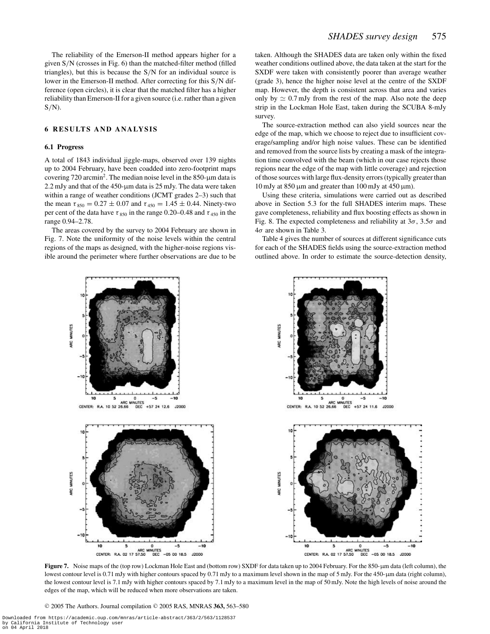The reliability of the Emerson-II method appears higher for a given S/N (crosses in Fig. 6) than the matched-filter method (filled triangles), but this is because the S/N for an individual source is lower in the Emerson-II method. After correcting for this S/N difference (open circles), it is clear that the matched filter has a higher reliability than Emerson-II for a given source (i.e. rather than a given  $S/N$ ).

## **6 RESULTS AND ANALYSIS**

#### **6.1 Progress**

A total of 1843 individual jiggle-maps, observed over 139 nights up to 2004 February, have been coadded into zero-footprint maps covering 720 arcmin<sup>2</sup>. The median noise level in the 850- $\mu$ m data is  $2.2$  mJy and that of the 450- $\mu$ m data is 25 mJy. The data were taken within a range of weather conditions (JCMT grades 2–3) such that the mean  $\tau_{850} = 0.27 \pm 0.07$  and  $\tau_{450} = 1.45 \pm 0.44$ . Ninety-two per cent of the data have  $\tau_{850}$  in the range 0.20–0.48 and  $\tau_{450}$  in the range 0.94–2.78.

The areas covered by the survey to 2004 February are shown in Fig. 7. Note the uniformity of the noise levels within the central regions of the maps as designed, with the higher-noise regions visible around the perimeter where further observations are due to be taken. Although the SHADES data are taken only within the fixed weather conditions outlined above, the data taken at the start for the SXDF were taken with consistently poorer than average weather (grade 3), hence the higher noise level at the centre of the SXDF map. However, the depth is consistent across that area and varies only by  $\simeq 0.7$  mJy from the rest of the map. Also note the deep strip in the Lockman Hole East, taken during the SCUBA 8-mJy survey.

The source-extraction method can also yield sources near the edge of the map, which we choose to reject due to insufficient coverage/sampling and/or high noise values. These can be identified and removed from the source lists by creating a mask of the integration time convolved with the beam (which in our case rejects those regions near the edge of the map with little coverage) and rejection of those sources with large flux-density errors (typically greater than 10 mJy at 850  $\mu$ m and greater than 100 mJy at 450  $\mu$ m).

Using these criteria, simulations were carried out as described above in Section 5.3 for the full SHADES interim maps. These gave completeness, reliability and flux boosting effects as shown in Fig. 8. The expected completeness and reliability at  $3\sigma$ ,  $3.5\sigma$  and  $4\sigma$  are shown in Table 3.

Table 4 gives the number of sources at different significance cuts for each of the SHADES fields using the source-extraction method outlined above. In order to estimate the source-detection density,



**Figure 7.** Noise maps of the (top row) Lockman Hole East and (bottom row) SXDF for data taken up to 2004 February. For the 850-µm data (left column), the lowest contour level is 0.71 mJy with higher contours spaced by 0.71 mJy to a maximum level shown in the map of 5 mJy. For the 450-µm data (right column), the lowest contour level is 7.1 mJy with higher contours spaced by 7.1 mJy to a maximum level in the map of 50 mJy. Note the high levels of noise around the edges of the map, which will be reduced when more observations are taken.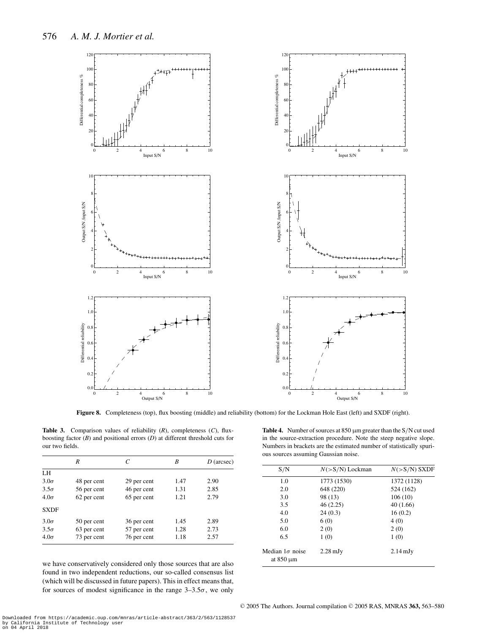

**Figure 8.** Completeness (top), flux boosting (middle) and reliability (bottom) for the Lockman Hole East (left) and SXDF (right).

**Table 3.** Comparison values of reliability (*R*), completeness (*C*), fluxboosting factor (*B*) and positional errors (*D*) at different threshold cuts for our two fields.

| LH                                                        |  |
|-----------------------------------------------------------|--|
|                                                           |  |
| $3.0\sigma$<br>2.90<br>1.47<br>48 per cent<br>29 per cent |  |
| 46 per cent<br>$3.5\sigma$<br>56 per cent<br>2.85<br>1.31 |  |
| $4.0\sigma$<br>62 per cent<br>65 per cent<br>2.79<br>1.21 |  |
| <b>SXDF</b>                                               |  |
| 2.89<br>$3.0\sigma$<br>36 per cent<br>1.45<br>50 per cent |  |
| 2.73<br>$3.5\sigma$<br>63 per cent<br>57 per cent<br>1.28 |  |
| $4.0\sigma$<br>76 per cent<br>73 per cent<br>2.57<br>1.18 |  |

we have conservatively considered only those sources that are also found in two independent reductions, our so-called consensus list (which will be discussed in future papers). This in effect means that, for sources of modest significance in the range  $3-3.5\sigma$ , we only

Table 4. Number of sources at 850  $\mu$ m greater than the S/N cut used in the source-extraction procedure. Note the steep negative slope. Numbers in brackets are the estimated number of statistically spurious sources assuming Gaussian noise.

| S/N                                      | $N(>S/N)$ Lockman  | $N(>S/N)$ SXDF     |
|------------------------------------------|--------------------|--------------------|
| 1.0                                      | 1773 (1530)        | 1372 (1128)        |
| 2.0                                      | 648 (220)          | 524 (162)          |
| 3.0                                      | 98 (13)            | 106(10)            |
| 3.5                                      | 46(2.25)           | 40(1.66)           |
| 4.0                                      | 24(0.3)            | 16(0.2)            |
| 5.0                                      | 6(0)               | 4(0)               |
| 6.0                                      | 2(0)               | 2(0)               |
| 6.5                                      | 1(0)               | 1(0)               |
| Median $1\sigma$ noise<br>at $850 \mu m$ | $2.28 \text{ mJy}$ | $2.14 \text{ mJy}$ |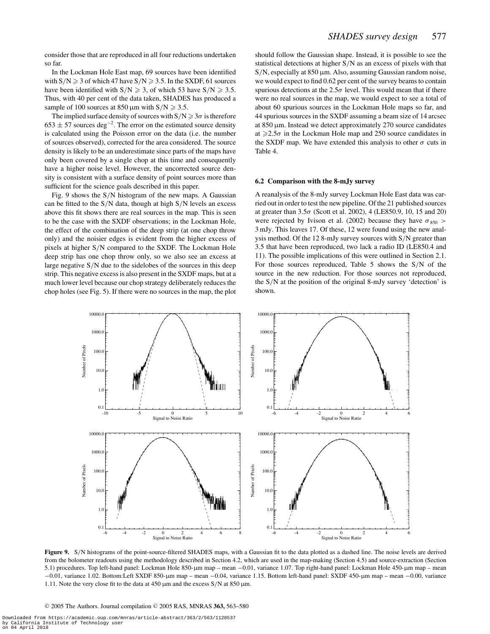consider those that are reproduced in all four reductions undertaken so far.

In the Lockman Hole East map, 69 sources have been identified with  $S/N \ge 3$  of which 47 have  $S/N \ge 3.5$ . In the SXDF, 61 sources have been identified with  $S/N \ge 3$ , of which 53 have  $S/N \ge 3.5$ . Thus, with 40 per cent of the data taken, SHADES has produced a sample of 100 sources at 850  $\mu$ m with S/N  $\geq$  3.5.

The implied surface density of sources with  $S/N \geq 3\sigma$  is therefore  $653 \pm 57$  sources deg<sup>-2</sup>. The error on the estimated source density is calculated using the Poisson error on the data (i.e. the number of sources observed), corrected for the area considered. The source density is likely to be an underestimate since parts of the maps have only been covered by a single chop at this time and consequently have a higher noise level. However, the uncorrected source density is consistent with a surface density of point sources more than sufficient for the science goals described in this paper.

Fig. 9 shows the S/N histogram of the new maps. A Gaussian can be fitted to the  $S/N$  data, though at high  $S/N$  levels an excess above this fit shows there are real sources in the map. This is seen to be the case with the SXDF observations; in the Lockman Hole, the effect of the combination of the deep strip (at one chop throw only) and the noisier edges is evident from the higher excess of pixels at higher S/N compared to the SXDF. The Lockman Hole deep strip has one chop throw only, so we also see an excess at large negative S/N due to the sidelobes of the sources in this deep strip. This negative excess is also present in the SXDF maps, but at a much lower level because our chop strategy deliberately reduces the chop holes (see Fig. 5). If there were no sources in the map, the plot should follow the Gaussian shape. Instead, it is possible to see the statistical detections at higher S/N as an excess of pixels with that  $S/N$ , especially at 850  $\mu$ m. Also, assuming Gaussian random noise, we would expect to find 0.62 per cent of the survey beams to contain spurious detections at the  $2.5\sigma$  level. This would mean that if there were no real sources in the map, we would expect to see a total of about 60 spurious sources in the Lockman Hole maps so far, and 44 spurious sources in the SXDF assuming a beam size of 14 arcsec at 850 µm. Instead we detect approximately 270 source candidates at  $\geq 2.5\sigma$  in the Lockman Hole map and 250 source candidates in the SXDF map. We have extended this analysis to other  $\sigma$  cuts in Table 4.

#### **6.2 Comparison with the 8-mJy survey**

A reanalysis of the 8-mJy survey Lockman Hole East data was carried out in order to test the new pipeline. Of the 21 published sources at greater than  $3.5\sigma$  (Scott et al. 2002), 4 (LE850.9, 10, 15 and 20) were rejected by Ivison et al. (2002) because they have  $\sigma_{850}$  > 3 mJy. This leaves 17. Of these, 12 were found using the new analysis method. Of the 12 8-mJy survey sources with S/N greater than 3.5 that have been reproduced, two lack a radio ID (LE850.4 and 11). The possible implications of this were outlined in Section 2.1. For those sources reproduced, Table 5 shows the S/N of the source in the new reduction. For those sources not reproduced, the S/N at the position of the original 8-mJy survey 'detection' is shown.



**Figure 9.** S/N histograms of the point-source-filtered SHADES maps, with a Gaussian fit to the data plotted as a dashed line. The noise levels are derived from the bolometer readouts using the methodology described in Section 4.2, which are used in the map-making (Section 4.5) and source-extraction (Section 5.1) procedures. Top left-hand panel: Lockman Hole 850-µm map – mean −0.01, variance 1.07. Top right-hand panel: Lockman Hole 450-µm map – mean −0.01, variance 1.02. Bottom:Left SXDF 850-µm map – mean −0.04, variance 1.15. Bottom left-hand panel: SXDF 450-µm map – mean −0.00, variance 1.11. Note the very close fit to the data at 450  $\mu$ m and the excess S/N at 850  $\mu$ m.

<sup>C</sup> 2005 The Authors. Journal compilation <sup>C</sup> 2005 RAS, MNRAS **363,** 563–580

Downloaded from https://academic.oup.com/mnras/article-abstract/363/2/563/1128537 by California Institute of Technology user on 04 April 2018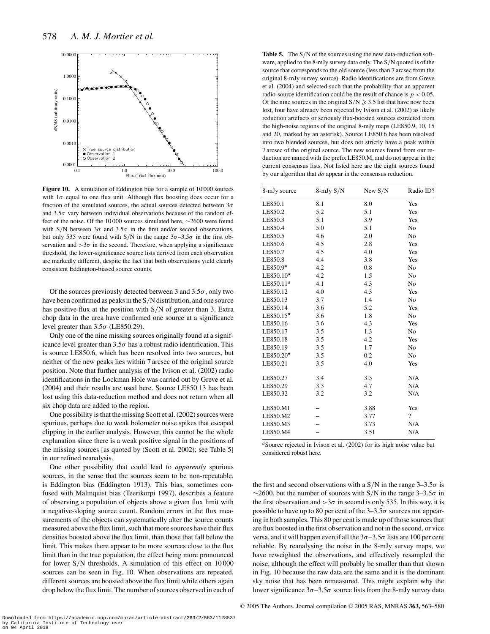

Figure 10. A simulation of Eddington bias for a sample of 10000 sources with  $1\sigma$  equal to one flux unit. Although flux boosting does occur for a fraction of the simulated sources, the actual sources detected between  $3\sigma$ and  $3.5\sigma$  vary between individual observations because of the random effect of the noise. Of the 10 000 sources simulated here, ∼2600 were found with S/N between  $3\sigma$  and  $3.5\sigma$  in the first and/or second observations, but only 535 were found with S/N in the range  $3\sigma - 3.5\sigma$  in the first observation and  $>3\sigma$  in the second. Therefore, when applying a significance threshold, the lower-significance source lists derived from each observation are markedly different, despite the fact that both observations yield clearly consistent Eddington-biased source counts.

Of the sources previously detected between 3 and  $3.5\sigma$ , only two have been confirmed as peaks in the S/N distribution, and one source has positive flux at the position with S/N of greater than 3. Extra chop data in the area have confirmed one source at a significance level greater than  $3.5\sigma$  (LE850.29).

Only one of the nine missing sources originally found at a significance level greater than  $3.5\sigma$  has a robust radio identification. This is source LE850.6, which has been resolved into two sources, but neither of the new peaks lies within 7 arcsec of the original source position. Note that further analysis of the Ivison et al. (2002) radio identifications in the Lockman Hole was carried out by Greve et al. (2004) and their results are used here. Source LE850.13 has been lost using this data-reduction method and does not return when all six chop data are added to the region.

One possibility is that the missing Scott et al. (2002) sources were spurious, perhaps due to weak bolometer noise spikes that escaped clipping in the earlier analysis. However, this cannot be the whole explanation since there is a weak positive signal in the positions of the missing sources [as quoted by (Scott et al. 2002); see Table 5] in our refined reanalysis.

One other possibility that could lead to *apparently* spurious sources, in the sense that the sources seem to be non-repeatable, is Eddington bias (Eddington 1913). This bias, sometimes confused with Malmquist bias (Teerikorpi 1997), describes a feature of observing a population of objects above a given flux limit with a negative-sloping source count. Random errors in the flux measurements of the objects can systematically alter the source counts measured above the flux limit, such that more sources have their flux densities boosted above the flux limit, than those that fall below the limit. This makes there appear to be more sources close to the flux limit than in the true population, the effect being more pronounced for lower S/N thresholds. A simulation of this effect on 10 000 sources can be seen in Fig. 10. When observations are repeated, different sources are boosted above the flux limit while others again drop below the flux limit. The number of sources observed in each of Table 5. The S/N of the sources using the new data-reduction software, applied to the 8-mJy survey data only. The S/N quoted is of the source that corresponds to the old source (less than 7 arcsec from the original 8-mJy survey source). Radio identifications are from Greve et al. (2004) and selected such that the probability that an apparent radio-source identification could be the result of chance is  $p < 0.05$ . Of the nine sources in the original  $S/N \geq 3.5$  list that have now been lost, four have already been rejected by Ivison et al. (2002) as likely reduction artefacts or seriously flux-boosted sources extracted from the high-noise regions of the original 8-mJy maps (LE850.9, 10, 15 and 20, marked by an asterisk). Source LE850.6 has been resolved into two blended sources, but does not strictly have a peak within 7 arcsec of the original source. The new sources found from our reduction are named with the prefix LE850.M, and do not appear in the current consensus lists. Not listed here are the eight sources found by our algorithm that *do* appear in the consensus reduction.

| 8-mJy source          | $8$ -mJy $S/N$ | New $S/N$ | Radio ID?                |
|-----------------------|----------------|-----------|--------------------------|
| LE850.1               | 8.1            | 8.0       | Yes                      |
| LE850.2               | 5.2            | 5.1       | Yes                      |
| LE850.3               | 5.1            | 3.9       | Yes                      |
| LE850.4               | 5.0            | 5.1       | N <sub>o</sub>           |
| LE850.5               | 4.6            | 2.0       | No                       |
| LE850.6               | 4.5            | 2.8       | Yes                      |
| LE850.7               | 4.5            | 4.0       | Yes                      |
| LE850.8               | 4.4            | 3.8       | Yes                      |
| LE850.9*              | 4.2            | 0.8       | N <sub>o</sub>           |
| $LE850.10*$           | 4.2            | 1.5       | N <sub>0</sub>           |
| LE850.11 <sup>a</sup> | 4.1            | 4.3       | No                       |
| LE850.12              | 4.0            | 4.3       | Yes                      |
| LE850.13              | 3.7            | 1.4       | No                       |
| LE850.14              | 3.6            | 5.2       | Yes                      |
| $LE850.15*$           | 3.6            | 1.8       | N <sub>0</sub>           |
| LE850.16              | 3.6            | 4.3       | Yes                      |
| LE850.17              | 3.5            | 1.3       | No                       |
| LE850.18              | 3.5            | 4.2       | Yes                      |
| LE850.19              | 3.5            | 1.7       | No                       |
| LE850.20*             | 3.5            | 0.2       | N <sub>0</sub>           |
| LE850.21              | 3.5            | 4.0       | Yes                      |
| LE850.27              | 3.4            | 3.3       | N/A                      |
| LE850.29              | 3.3            | 4.7       | N/A                      |
| LE850.32              | 3.2            | 3.2       | N/A                      |
| LE850.M1              |                | 3.88      | Yes                      |
| LE850.M2              |                | 3.77      | $\overline{\mathcal{L}}$ |
| LE850.M3              |                | 3.73      | N/A                      |
| LE850.M4              |                | 3.51      | N/A                      |

<sup>*a*</sup>Source rejected in Ivison et al. (2002) for its high noise value but considered robust here.

the first and second observations with a  $S/N$  in the range  $3-3.5\sigma$  is  $\sim$ 2600, but the number of sources with S/N in the range 3–3.5 $\sigma$  in the first observation and  $>3\sigma$  in second is only 535. In this way, it is possible to have up to 80 per cent of the  $3-3.5\sigma$  sources not appearing in both samples. This 80 per cent is made up of those sources that are flux boosted in the first observation and not in the second, or vice versa, and it will happen even if all the  $3\sigma - 3.5\sigma$  lists are 100 per cent reliable. By reanalysing the noise in the 8-mJy survey maps, we have reweighted the observations, and effectively resampled the noise, although the effect will probably be smaller than that shown in Fig. 10 because the raw data are the same and it is the dominant sky noise that has been remeasured. This might explain why the lower significance  $3\sigma - 3.5\sigma$  source lists from the 8-mJy survey data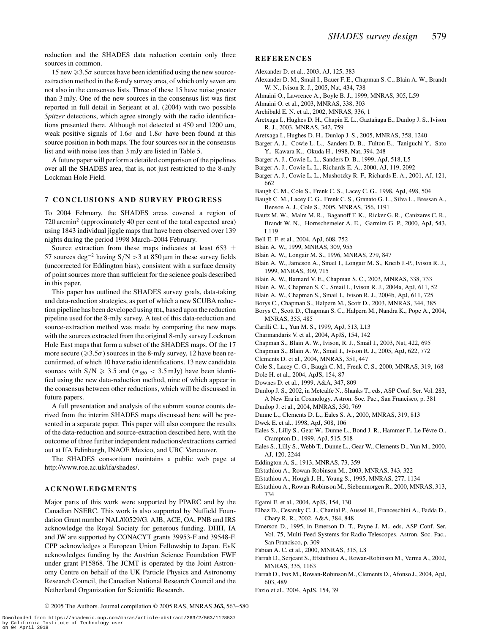reduction and the SHADES data reduction contain only three sources in common.

# 15 new  $\geq 3.5\sigma$  sources have been identified using the new sourceextraction method in the 8-mJy survey area, of which only seven are not also in the consensus lists. Three of these 15 have noise greater than 3 mJy. One of the new sources in the consensus list was first reported in full detail in Serjeant et al. (2004) with two possible *Spitzer* detections, which agree strongly with the radio identifications presented there. Although not detected at  $450$  and  $1200 \,\mu m$ , weak positive signals of  $1.6\sigma$  and  $1.8\sigma$  have been found at this source position in both maps. The four sources *not* in the consensus list and with noise less than 3 mJy are listed in Table 5.

A future paper will perform a detailed comparison of the pipelines over all the SHADES area, that is, not just restricted to the 8-mJy Lockman Hole Field.

## **7 CONCLUSIONS AND SURVEY PROGRESS**

To 2004 February, the SHADES areas covered a region of 720 arcmin<sup>2</sup> (approximately 40 per cent of the total expected area) using 1843 individual jiggle maps that have been observed over 139 nights during the period 1998 March–2004 February.

Source extraction from these maps indicates at least 653  $\pm$ 57 sources deg<sup>-2</sup> having S/N > 3 at 850 μm in these survey fields (uncorrected for Eddington bias), consistent with a surface density of point sources more than sufficient for the science goals described in this paper.

This paper has outlined the SHADES survey goals, data-taking and data-reduction strategies, as part of which a new SCUBA reduction pipeline has been developed using IDL, based upon the reduction pipeline used for the 8-mJy survey. A test of this data-reduction and source-extraction method was made by comparing the new maps with the sources extracted from the original 8-mJy survey Lockman Hole East maps that form a subset of the SHADES maps. Of the 17 more secure ( $\geq 3.5\sigma$ ) sources in the 8-mJy survey, 12 have been reconfirmed, of which 10 have radio identifications. 13 new candidate sources with  $S/N \ge 3.5$  and  $(\sigma_{850} < 3.5$  mJy) have been identified using the new data-reduction method, nine of which appear in the consensus between other reductions, which will be discussed in future papers.

A full presentation and analysis of the submm source counts derived from the interim SHADES maps discussed here will be presented in a separate paper. This paper will also compare the results of the data-reduction and source-extraction described here, with the outcome of three further independent reductions/extractions carried out at IfA Edinburgh, INAOE Mexico, and UBC Vancouver.

The SHADES consortium maintains a public web page at http://www.roe.ac.uk/ifa/shades/.

## **ACKNOWLEDGMENTS**

Major parts of this work were supported by PPARC and by the Canadian NSERC. This work is also supported by Nuffield Foundation Grant number NAL/00529/G. AJB, ACE, OA, PNB and IRS acknowledge the Royal Society for generous funding. DHH, IA and JW are supported by CONACYT grants 39953-F and 39548-F. CPP acknowledges a European Union Fellowship to Japan. EvK acknowledges funding by the Austrian Science Foundation FWF under grant P15868. The JCMT is operated by the Joint Astronomy Centre on behalf of the UK Particle Physics and Astronomy Research Council, the Canadian National Research Council and the Netherland Organization for Scientific Research.

#### **REFERENCES**

- Alexander D. et al., 2003, AJ, 125, 383
- Alexander D. M., Smail I., Bauer F. E., Chapman S. C., Blain A. W., Brandt W. N., Ivison R. J., 2005, Nat, 434, 738
- Almaini O., Lawrence A., Boyle B. J., 1999, MNRAS, 305, L59
- Almaini O. et al., 2003, MNRAS, 338, 303
- Archibald E. N. et al., 2002, MNRAS, 336, 1
- Aretxaga I., Hughes D. H., Chapin E. L., Gaztañaga E., Dunlop J. S., Ivison R. J., 2003, MNRAS, 342, 759
- Aretxaga I., Hughes D. H., Dunlop J. S., 2005, MNRAS, 358, 1240
- Barger A. J., Cowie L. L., Sanders D. B., Fulton E., Taniguchi Y., Sato Y., Kawara K., Okuda H., 1998, Nat, 394, 248
- Barger A. J., Cowie L. L., Sanders D. B., 1999, ApJ, 518, L5
- Barger A. J., Cowie L. L., Richards E. A., 2000, AJ, 119, 2092
- Barger A. J., Cowie L. L., Mushotzky R. F., Richards E. A., 2001, AJ, 121, 662
- Baugh C. M., Cole S., Frenk C. S., Lacey C. G., 1998, ApJ, 498, 504
- Baugh C. M., Lacey C. G., Frenk C. S., Granato G. L., Silva L., Bressan A., Benson A. J., Cole S., 2005, MNRAS, 356, 1191
- Bautz M. W., Malm M. R., Baganoff F. K., Ricker G. R., Canizares C. R., Brandt W. N., Hornschemeier A. E., Garmire G. P., 2000, ApJ, 543, L119
- Bell E. F. et al., 2004, ApJ, 608, 752
- Blain A. W., 1999, MNRAS, 309, 955
- Blain A. W., Longair M. S., 1996, MNRAS, 279, 847
- Blain A. W., Jameson A., Smail I., Longair M. S., Kneib J.-P., Ivison R. J., 1999, MNRAS, 309, 715
- Blain A. W., Barnard V. E., Chapman S. C., 2003, MNRAS, 338, 733
- Blain A. W., Chapman S. C., Smail I., Ivison R. J., 2004a, ApJ, 611, 52
- Blain A. W., Chapman S., Smail I., Ivison R. J., 2004b, ApJ, 611, 725
- Borys C., Chapman S., Halpern M., Scott D., 2003, MNRAS, 344, 385
- Borys C., Scott D., Chapman S. C., Halpern M., Nandra K., Pope A., 2004, MNRAS, 355, 485
- Carilli C. L., Yun M. S., 1999, ApJ, 513, L13
- Charmandaris V. et al., 2004, ApJS, 154, 142
- Chapman S., Blain A. W., Ivison, R. J., Smail I., 2003, Nat, 422, 695
- Chapman S., Blain A. W., Smail I., Ivison R. J., 2005, ApJ, 622, 772
- Clements D. et al., 2004, MNRAS, 351, 447
- Cole S., Lacey C. G., Baugh C. M., Frenk C. S., 2000, MNRAS, 319, 168
- Dole H. et al., 2004, ApJS, 154, 87
- Downes D. et al., 1999, A&A, 347, 809
- Dunlop J. S., 2002, in Metcalfe N., Shanks T., eds, ASP Conf. Ser. Vol. 283, A New Era in Cosmology. Astron. Soc. Pac., San Francisco, p. 381
- Dunlop J. et al., 2004, MNRAS, 350, 769
- Dunne L., Clements D. L., Eales S. A., 2000, MNRAS, 319, 813
- Dwek E. et al., 1998, ApJ, 508, 106
- Eales S., Lilly S., Gear W., Dunne L., Bond J. R., Hammer F., Le Févre O., Crampton D., 1999, ApJ, 515, 518
- Eales S., Lilly S., Webb T., Dunne L., Gear W., Clements D., Yun M., 2000, AJ, 120, 2244
- Eddington A. S., 1913, MNRAS, 73, 359
- Efstathiou A., Rowan-Robinson M., 2003, MNRAS, 343, 322
- Efstathiou A., Hough J. H., Young S., 1995, MNRAS, 277, 1134
- Efstathiou A., Rowan-Robinson M., Siebenmorgen R., 2000, MNRAS, 313, 734
- Egami E. et al., 2004, ApJS, 154, 130
- Elbaz D., Cesarsky C. J., Chanial P., Aussel H., Franceschini A., Fadda D., Chary R. R., 2002, A&A, 384, 848
- Emerson D., 1995, in Emerson D. T., Payne J. M., eds, ASP Conf. Ser. Vol. 75, Multi-Feed Systems for Radio Telescopes. Astron. Soc. Pac., San Francisco, p. 309
- Fabian A. C. et al., 2000, MNRAS, 315, L8
- Farrah D., Serjeant S., Efstathiou A., Rowan-Robinson M., Verma A., 2002, MNRAS, 335, 1163
- Farrah D., Fox M., Rowan-Robinson M., Clements D., Afonso J., 2004, ApJ, 603, 489
- Fazio et al., 2004, ApJS, 154, 39